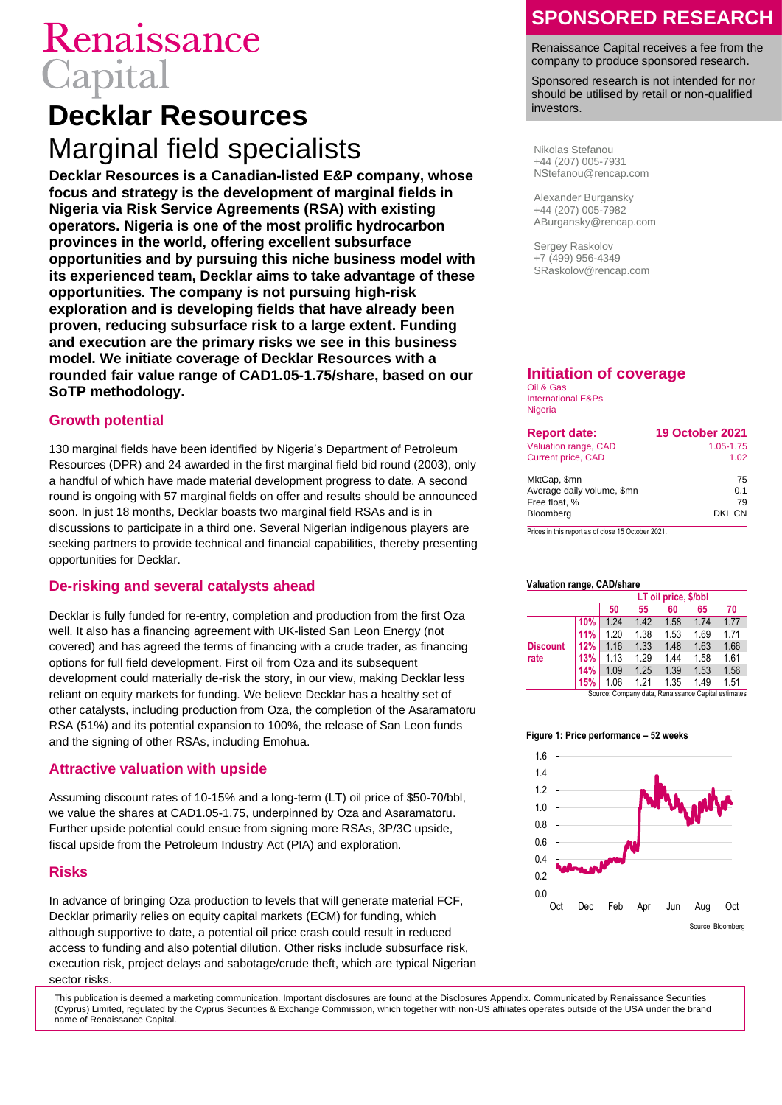# Renaissance Capital

## **Decklar Resources** Marginal field specialists

**Decklar Resources is a Canadian-listed E&P company, whose focus and strategy is the development of marginal fields in Nigeria via Risk Service Agreements (RSA) with existing operators. Nigeria is one of the most prolific hydrocarbon provinces in the world, offering excellent subsurface opportunities and by pursuing this niche business model with its experienced team, Decklar aims to take advantage of these opportunities. The company is not pursuing high-risk exploration and is developing fields that have already been proven, reducing subsurface risk to a large extent. Funding and execution are the primary risks we see in this business model. We initiate coverage of Decklar Resources with a rounded fair value range of CAD1.05-1.75/share, based on our SoTP methodology.**

### **Growth potential**

130 marginal fields have been identified by Nigeria's Department of Petroleum Resources (DPR) and 24 awarded in the first marginal field bid round (2003), only a handful of which have made material development progress to date. A second round is ongoing with 57 marginal fields on offer and results should be announced soon. In just 18 months, Decklar boasts two marginal field RSAs and is in discussions to participate in a third one. Several Nigerian indigenous players are seeking partners to provide technical and financial capabilities, thereby presenting opportunities for Decklar.

### **De-risking and several catalysts ahead**

Decklar is fully funded for re-entry, completion and production from the first Oza well. It also has a financing agreement with UK-listed San Leon Energy (not covered) and has agreed the terms of financing with a crude trader, as financing options for full field development. First oil from Oza and its subsequent development could materially de-risk the story, in our view, making Decklar less reliant on equity markets for funding. We believe Decklar has a healthy set of other catalysts, including production from Oza, the completion of the Asaramatoru RSA (51%) and its potential expansion to 100%, the release of San Leon funds and the signing of other RSAs, including Emohua.

### **Attractive valuation with upside**

Assuming discount rates of 10-15% and a long-term (LT) oil price of \$50-70/bbl, we value the shares at CAD1.05-1.75, underpinned by Oza and Asaramatoru. Further upside potential could ensue from signing more RSAs, 3P/3C upside, fiscal upside from the Petroleum Industry Act (PIA) and exploration.

### **Risks**

In advance of bringing Oza production to levels that will generate material FCF, Decklar primarily relies on equity capital markets (ECM) for funding, which although supportive to date, a potential oil price crash could result in reduced access to funding and also potential dilution. Other risks include subsurface risk, execution risk, project delays and sabotage/crude theft, which are typical Nigerian sector risks.

## **SPONSORED RESEARCH**

Renaissance Capital receives a fee from the company to produce sponsored research.

Sponsored research is not intended for nor should be utilised by retail or non-qualified investors.

Nikolas Stefanou +44 (207) 005-7931 NStefanou@rencap.com

Alexander Burgansky +44 (207) 005-7982 ABurgansky@rencap.com

Sergey Raskolov +7 (499) 956-4349 SRaskolov@rencap.com

### **Initiation of coverage**

Oil & Gas International E&Ps **Nigeria** 

| <b>Report date:</b>        | <b>19 October 2021</b> |
|----------------------------|------------------------|
| Valuation range, CAD       | 1.05-1.75              |
| <b>Current price, CAD</b>  | 1.02                   |
| MktCap, \$mn               | 75                     |
| Average daily volume, \$mn | 0.1                    |
| Free float, %              | 79                     |
| Bloomberg                  | DKL CN                 |

Prices in this report as of close 15 October 2021.

#### **Valuation range, CAD/share**

| 50<br>55<br>65<br>60                                   | 70   |
|--------------------------------------------------------|------|
|                                                        |      |
| 10%<br>1.42<br>1.58<br>1.24<br>1 74                    | 1.77 |
| 1.38<br><b>11%</b><br>1.20<br>1.53<br>1.69             | 1.71 |
| 1.33<br>1.48<br>1.63<br>12%<br>1.16<br><b>Discount</b> | 1.66 |
| rate<br>1.29<br>1.58<br>13%<br>1.44<br>1.13            | 1.61 |
| 1.25<br>1.53<br>1.39<br>14%<br>1.09                    | 1.56 |
| 1.21<br>1.49<br>1.06<br>1.35<br>15%                    | 1.51 |

Source: Company data, Renaissance Capital estimates

#### **Figure 1: Price performance – 52 weeks**



This publication is deemed a marketing communication. Important disclosures are found at the Disclosures Appendix. Communicated by Renaissance Securities (Cyprus) Limited, regulated by the Cyprus Securities & Exchange Commission, which together with non-US affiliates operates outside of the USA under the brand name of Renaissance Capital.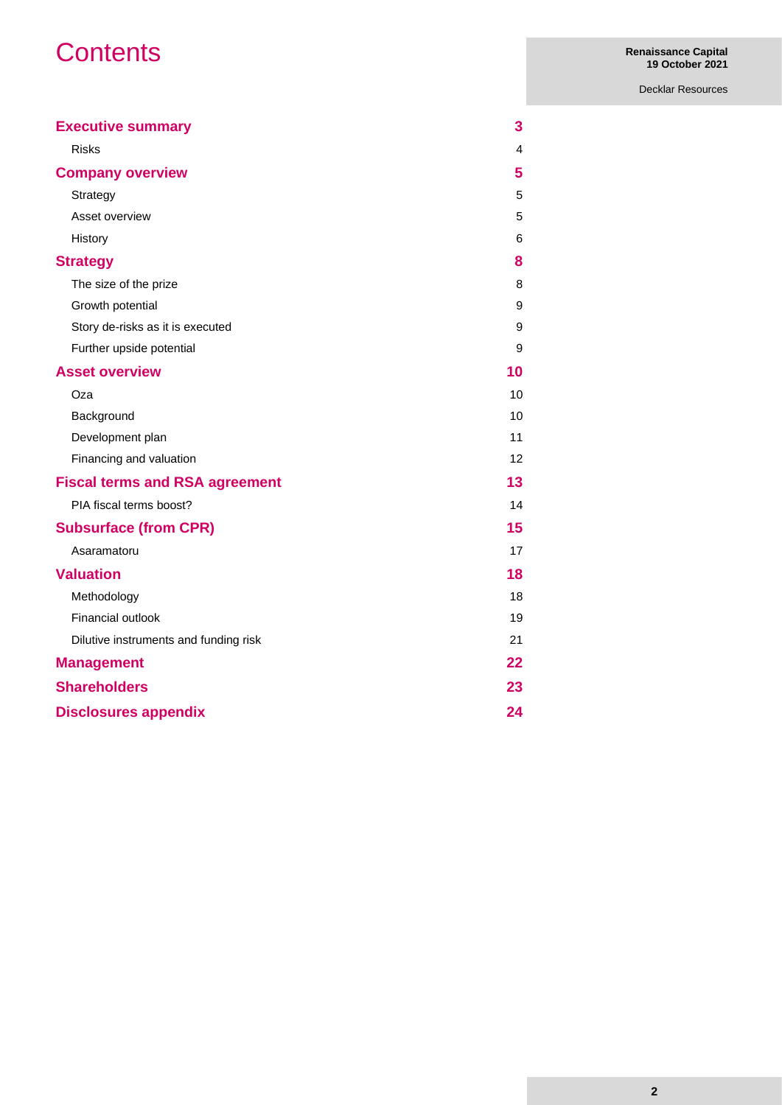## **Contents**

Decklar Resources

| <b>Executive summary</b>              | 3  |
|---------------------------------------|----|
| <b>Risks</b>                          | 4  |
| <b>Company overview</b>               | 5  |
| Strategy                              | 5  |
| Asset overview                        | 5  |
| History                               | 6  |
| <b>Strategy</b>                       | 8  |
| The size of the prize                 | 8  |
| Growth potential                      | 9  |
| Story de-risks as it is executed      | 9  |
| Further upside potential              | 9  |
| <b>Asset overview</b>                 | 10 |
| Oza                                   | 10 |
| Background                            | 10 |
| Development plan                      | 11 |
| Financing and valuation               | 12 |
| <b>Fiscal terms and RSA agreement</b> | 13 |
| PIA fiscal terms boost?               | 14 |
| <b>Subsurface (from CPR)</b>          | 15 |
| Asaramatoru                           | 17 |
| <b>Valuation</b>                      | 18 |
| Methodology                           | 18 |
| Financial outlook                     | 19 |
| Dilutive instruments and funding risk | 21 |
| <b>Management</b>                     | 22 |
| <b>Shareholders</b>                   | 23 |
| <b>Disclosures appendix</b>           | 24 |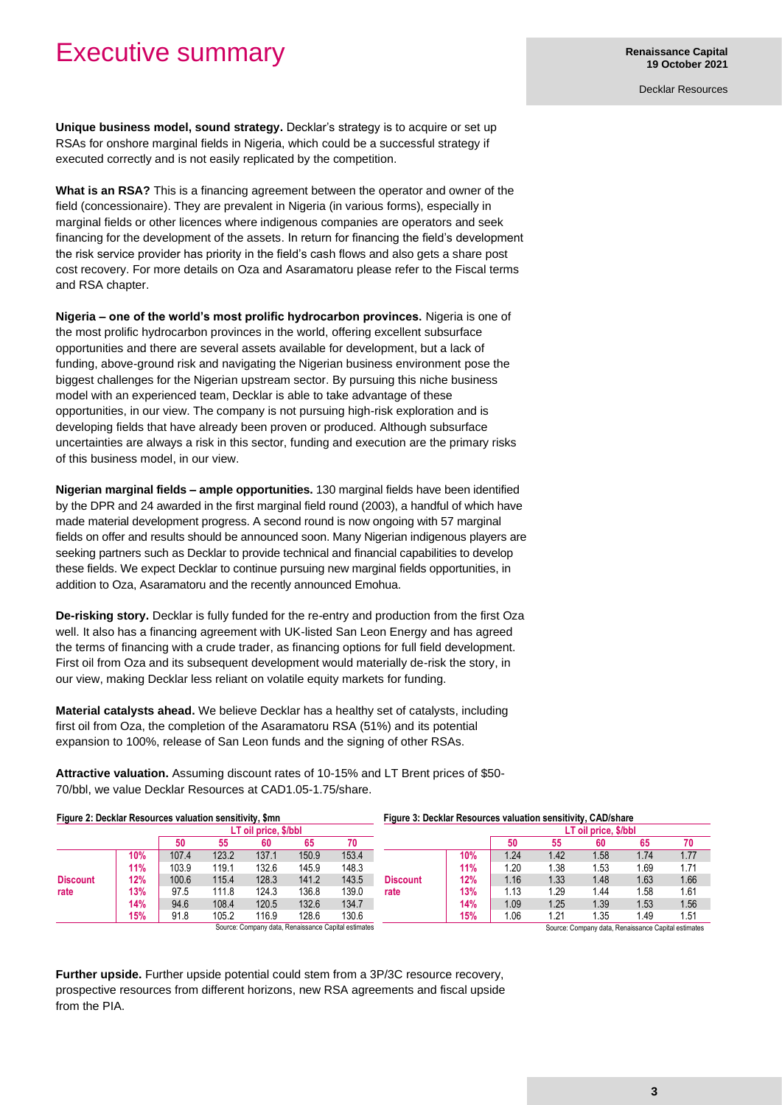## Executive summary

Decklar Resources

**Unique business model, sound strategy.** Decklar's strategy is to acquire or set up RSAs for onshore marginal fields in Nigeria, which could be a successful strategy if executed correctly and is not easily replicated by the competition.

**What is an RSA?** This is a financing agreement between the operator and owner of the field (concessionaire). They are prevalent in Nigeria (in various forms), especially in marginal fields or other licences where indigenous companies are operators and seek financing for the development of the assets. In return for financing the field's development the risk service provider has priority in the field's cash flows and also gets a share post cost recovery. For more details on Oza and Asaramatoru please refer to the Fiscal terms and RSA chapter.

**Nigeria – one of the world's most prolific hydrocarbon provinces.** Nigeria is one of the most prolific hydrocarbon provinces in the world, offering excellent subsurface opportunities and there are several assets available for development, but a lack of funding, above-ground risk and navigating the Nigerian business environment pose the biggest challenges for the Nigerian upstream sector. By pursuing this niche business model with an experienced team, Decklar is able to take advantage of these opportunities, in our view. The company is not pursuing high-risk exploration and is developing fields that have already been proven or produced. Although subsurface uncertainties are always a risk in this sector, funding and execution are the primary risks of this business model, in our view.

**Nigerian marginal fields – ample opportunities.** 130 marginal fields have been identified by the DPR and 24 awarded in the first marginal field round (2003), a handful of which have made material development progress. A second round is now ongoing with 57 marginal fields on offer and results should be announced soon. Many Nigerian indigenous players are seeking partners such as Decklar to provide technical and financial capabilities to develop these fields. We expect Decklar to continue pursuing new marginal fields opportunities, in addition to Oza, Asaramatoru and the recently announced Emohua.

**De-risking story.** Decklar is fully funded for the re-entry and production from the first Oza well. It also has a financing agreement with UK-listed San Leon Energy and has agreed the terms of financing with a crude trader, as financing options for full field development. First oil from Oza and its subsequent development would materially de-risk the story, in our view, making Decklar less reliant on volatile equity markets for funding.

**Material catalysts ahead.** We believe Decklar has a healthy set of catalysts, including first oil from Oza, the completion of the Asaramatoru RSA (51%) and its potential expansion to 100%, release of San Leon funds and the signing of other RSAs.

**Attractive valuation.** Assuming discount rates of 10-15% and LT Brent prices of \$50- 70/bbl, we value Decklar Resources at CAD1.05-1.75/share.

| Figure 2: Decklar Resources valuation sensitivity, \$mn |     |       |       |                      |       |                                                     | Figure 3: Decklar Resources valuation sensitivity, CAD/share |     |                      |      |                                                     |      |      |  |
|---------------------------------------------------------|-----|-------|-------|----------------------|-------|-----------------------------------------------------|--------------------------------------------------------------|-----|----------------------|------|-----------------------------------------------------|------|------|--|
|                                                         |     |       |       | LT oil price, \$/bbl |       |                                                     |                                                              |     | LT oil price, \$/bbl |      |                                                     |      |      |  |
|                                                         |     | 50    | 55    | 60                   | 65    | 70                                                  |                                                              |     | 50                   | 55   | 60                                                  | 65   | 70   |  |
|                                                         | 10% | 107.4 | 123.2 | 137.1                | 150.9 | 153.4                                               |                                                              | 10% | 1.24                 | 1.42 | .58                                                 | 1.74 | 1.77 |  |
| <b>Discount</b>                                         | 11% | 103.9 | 119.1 | 132.6                | 145.9 | 148.3                                               |                                                              | 11% | $\overline{20}$      | . 38 | . 53                                                | l.69 | 1.71 |  |
|                                                         | 12% | 100.6 | 115.4 | 128.3                | 141.2 | 143.5                                               | <b>Discount</b>                                              | 12% | 1.16                 | 1.33 | 1.48                                                | 1.63 | 1.66 |  |
| rate                                                    | 13% | 97.5  | 111.8 | 124.3                | 136.8 | 139.0                                               | rate                                                         | 13% | l.13                 | .29  | 1.44                                                | .58  | 1.61 |  |
|                                                         | 14% | 94.6  | 108.4 | 120.5                | 132.6 | 134.7                                               |                                                              | 14% | 1.09                 | 1.25 | 1.39                                                | 1.53 | 1.56 |  |
|                                                         | 15% | 91.8  | 105.2 | 116.9                | 128.6 | 130.6                                               |                                                              | 15% | .06                  | 1.21 | 1.35                                                | 1.49 | 1.51 |  |
|                                                         |     |       |       |                      |       | Source: Company data, Renaissance Capital estimates |                                                              |     |                      |      | Source: Company data, Renaissance Capital estimates |      |      |  |

**Further upside.** Further upside potential could stem from a 3P/3C resource recovery, prospective resources from different horizons, new RSA agreements and fiscal upside from the PIA.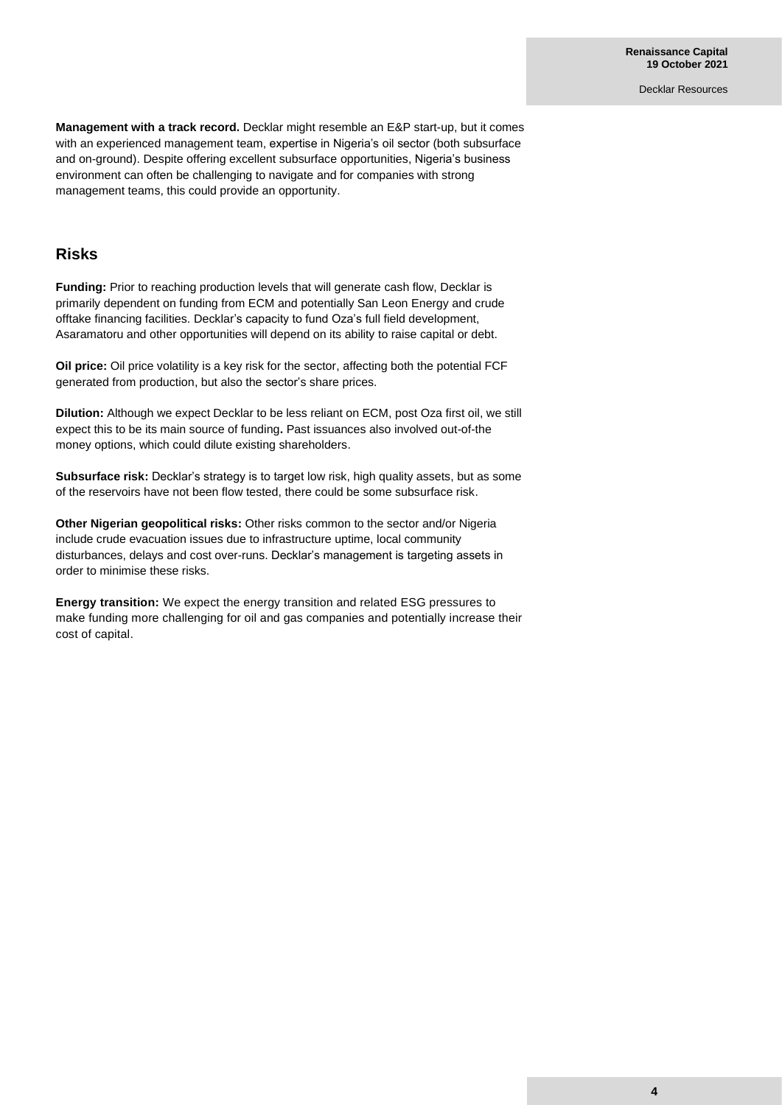**Management with a track record.** Decklar might resemble an E&P start-up, but it comes with an experienced management team, expertise in Nigeria's oil sector (both subsurface and on-ground). Despite offering excellent subsurface opportunities, Nigeria's business environment can often be challenging to navigate and for companies with strong management teams, this could provide an opportunity.

### **Risks**

**Funding:** Prior to reaching production levels that will generate cash flow, Decklar is primarily dependent on funding from ECM and potentially San Leon Energy and crude offtake financing facilities. Decklar's capacity to fund Oza's full field development, Asaramatoru and other opportunities will depend on its ability to raise capital or debt.

**Oil price:** Oil price volatility is a key risk for the sector, affecting both the potential FCF generated from production, but also the sector's share prices.

**Dilution:** Although we expect Decklar to be less reliant on ECM, post Oza first oil, we still expect this to be its main source of funding**.** Past issuances also involved out-of-the money options, which could dilute existing shareholders.

**Subsurface risk:** Decklar's strategy is to target low risk, high quality assets, but as some of the reservoirs have not been flow tested, there could be some subsurface risk.

**Other Nigerian geopolitical risks:** Other risks common to the sector and/or Nigeria include crude evacuation issues due to infrastructure uptime, local community disturbances, delays and cost over-runs. Decklar's management is targeting assets in order to minimise these risks.

**Energy transition:** We expect the energy transition and related ESG pressures to make funding more challenging for oil and gas companies and potentially increase their cost of capital.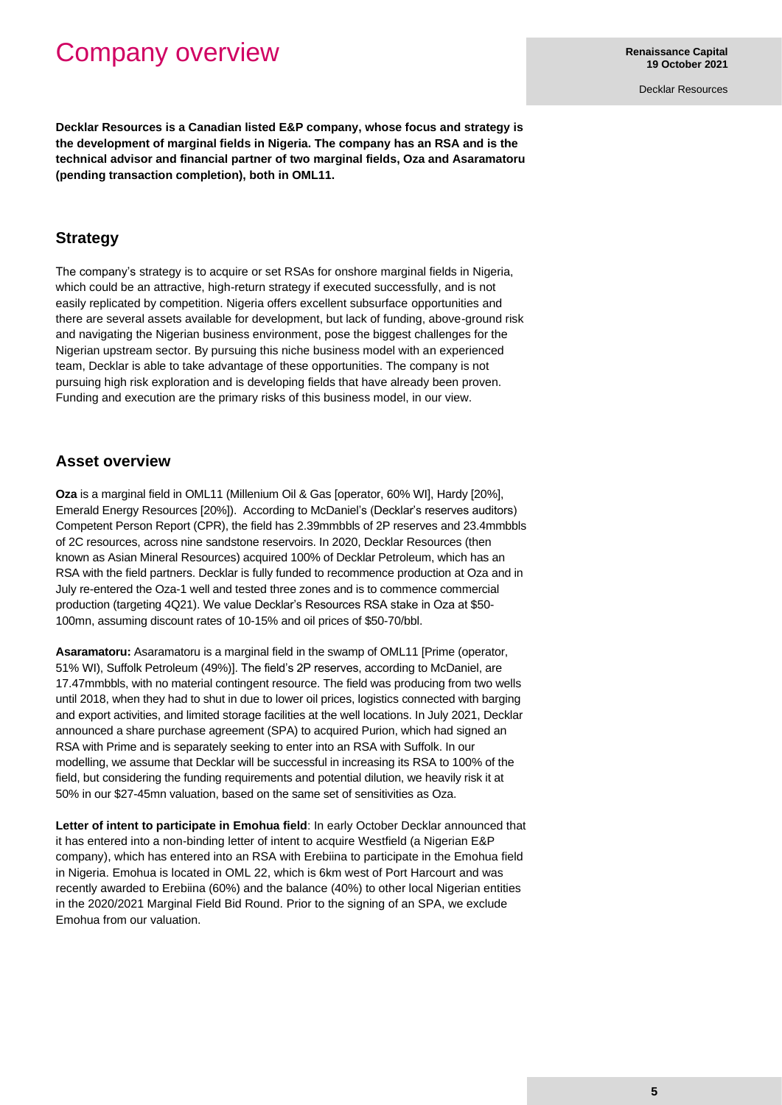## Company overview

**Renaissance Capital 19 October 2021**

Decklar Resources

**Decklar Resources is a Canadian listed E&P company, whose focus and strategy is the development of marginal fields in Nigeria. The company has an RSA and is the technical advisor and financial partner of two marginal fields, Oza and Asaramatoru (pending transaction completion), both in OML11.**

### **Strategy**

The company's strategy is to acquire or set RSAs for onshore marginal fields in Nigeria, which could be an attractive, high-return strategy if executed successfully, and is not easily replicated by competition. Nigeria offers excellent subsurface opportunities and there are several assets available for development, but lack of funding, above-ground risk and navigating the Nigerian business environment, pose the biggest challenges for the Nigerian upstream sector. By pursuing this niche business model with an experienced team, Decklar is able to take advantage of these opportunities. The company is not pursuing high risk exploration and is developing fields that have already been proven. Funding and execution are the primary risks of this business model, in our view.

### **Asset overview**

**Oza** is a marginal field in OML11 (Millenium Oil & Gas [operator, 60% WI], Hardy [20%], Emerald Energy Resources [20%]). According to McDaniel's (Decklar's reserves auditors) Competent Person Report (CPR), the field has 2.39mmbbls of 2P reserves and 23.4mmbbls of 2C resources, across nine sandstone reservoirs. In 2020, Decklar Resources (then known as Asian Mineral Resources) acquired 100% of Decklar Petroleum, which has an RSA with the field partners. Decklar is fully funded to recommence production at Oza and in July re-entered the Oza-1 well and tested three zones and is to commence commercial production (targeting 4Q21). We value Decklar's Resources RSA stake in Oza at \$50- 100mn, assuming discount rates of 10-15% and oil prices of \$50-70/bbl.

**Asaramatoru:** Asaramatoru is a marginal field in the swamp of OML11 [Prime (operator, 51% WI), Suffolk Petroleum (49%)]. The field's 2P reserves, according to McDaniel, are 17.47mmbbls, with no material contingent resource. The field was producing from two wells until 2018, when they had to shut in due to lower oil prices, logistics connected with barging and export activities, and limited storage facilities at the well locations. In July 2021, Decklar announced a share purchase agreement (SPA) to acquired Purion, which had signed an RSA with Prime and is separately seeking to enter into an RSA with Suffolk. In our modelling, we assume that Decklar will be successful in increasing its RSA to 100% of the field, but considering the funding requirements and potential dilution, we heavily risk it at 50% in our \$27-45mn valuation, based on the same set of sensitivities as Oza.

**Letter of intent to participate in Emohua field**: In early October Decklar announced that it has entered into a non-binding letter of intent to acquire Westfield (a Nigerian E&P company), which has entered into an RSA with Erebiina to participate in the Emohua field in Nigeria. Emohua is located in OML 22, which is 6km west of Port Harcourt and was recently awarded to Erebiina (60%) and the balance (40%) to other local Nigerian entities in the 2020/2021 Marginal Field Bid Round. Prior to the signing of an SPA, we exclude Emohua from our valuation.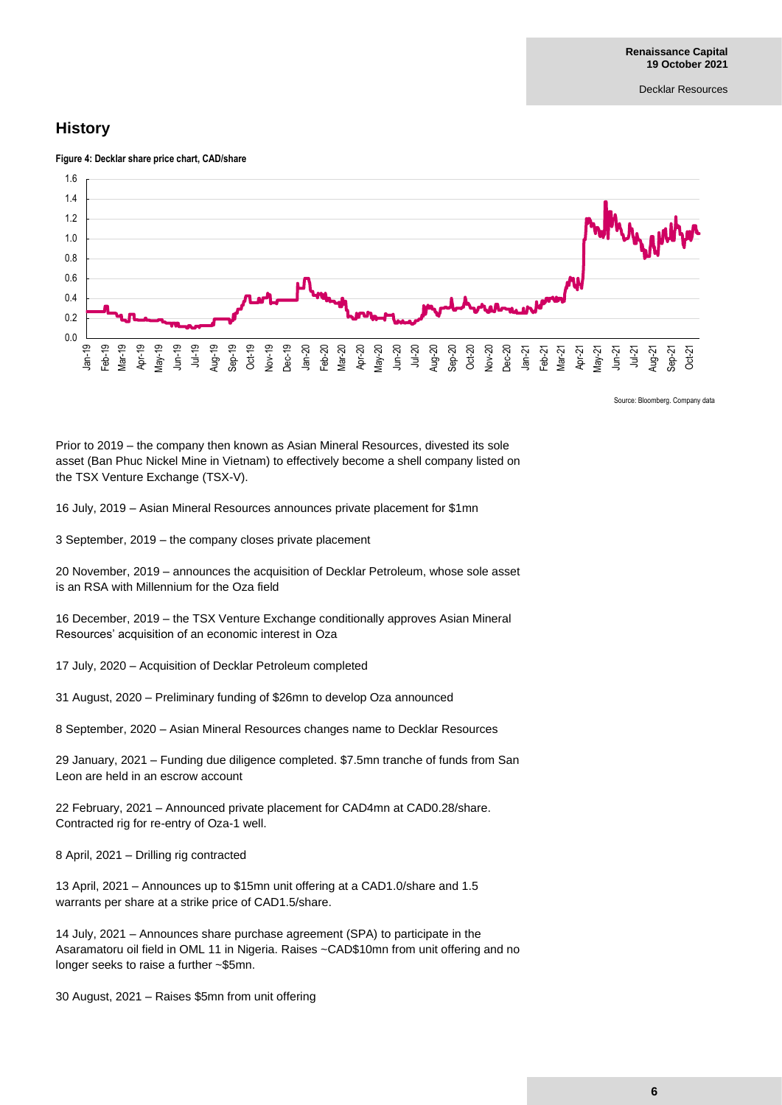## **History**





Source: Bloomberg. Company data

Prior to 2019 – the company then known as Asian Mineral Resources, divested its sole asset (Ban Phuc Nickel Mine in Vietnam) to effectively become a shell company listed on the TSX Venture Exchange (TSX-V).

16 July, 2019 – Asian Mineral Resources announces private placement for \$1mn

3 September, 2019 – the company closes private placement

20 November, 2019 – announces the acquisition of Decklar Petroleum, whose sole asset is an RSA with Millennium for the Oza field

16 December, 2019 – the TSX Venture Exchange conditionally approves Asian Mineral Resources' acquisition of an economic interest in Oza

17 July, 2020 – Acquisition of Decklar Petroleum completed

31 August, 2020 – Preliminary funding of \$26mn to develop Oza announced

8 September, 2020 – Asian Mineral Resources changes name to Decklar Resources

29 January, 2021 – Funding due diligence completed. \$7.5mn tranche of funds from San Leon are held in an escrow account

22 February, 2021 – Announced private placement for CAD4mn at CAD0.28/share. Contracted rig for re-entry of Oza-1 well.

8 April, 2021 – Drilling rig contracted

13 April, 2021 – Announces up to \$15mn unit offering at a CAD1.0/share and 1.5 warrants per share at a strike price of CAD1.5/share.

14 July, 2021 – Announces share purchase agreement (SPA) to participate in the Asaramatoru oil field in OML 11 in Nigeria. Raises ~CAD\$10mn from unit offering and no longer seeks to raise a further ~\$5mn.

30 August, 2021 – Raises \$5mn from unit offering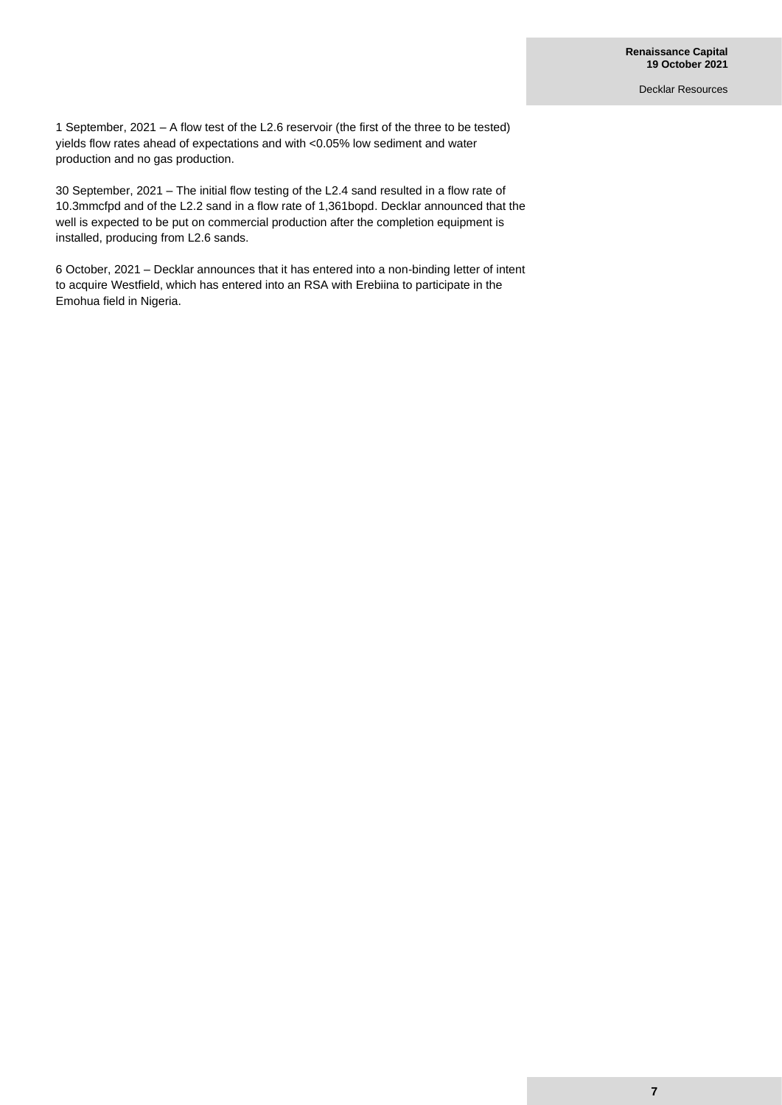1 September, 2021 – A flow test of the L2.6 reservoir (the first of the three to be tested) yields flow rates ahead of expectations and with <0.05% low sediment and water production and no gas production.

30 September, 2021 – The initial flow testing of the L2.4 sand resulted in a flow rate of 10.3mmcfpd and of the L2.2 sand in a flow rate of 1,361bopd. Decklar announced that the well is expected to be put on commercial production after the completion equipment is installed, producing from L2.6 sands.

6 October, 2021 – Decklar announces that it has entered into a non-binding letter of intent to acquire Westfield, which has entered into an RSA with Erebiina to participate in the Emohua field in Nigeria.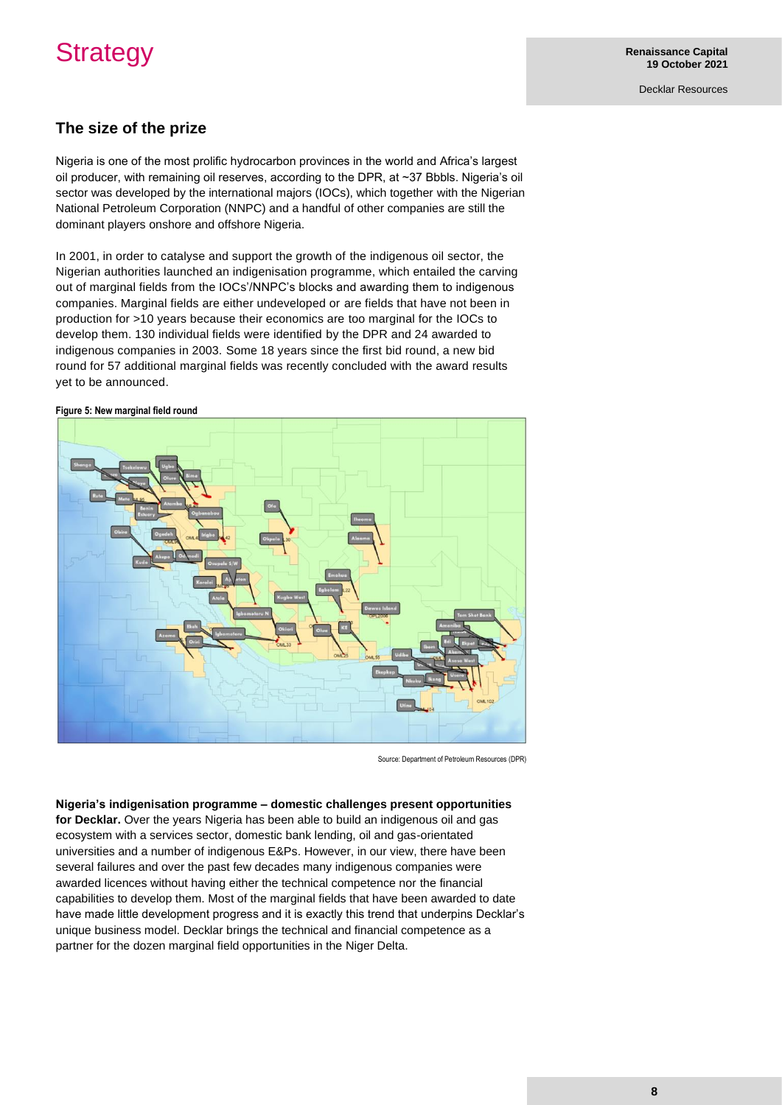## **Strategy**

Decklar Resources

## **The size of the prize**

Nigeria is one of the most prolific hydrocarbon provinces in the world and Africa's largest oil producer, with remaining oil reserves, according to the DPR, at ~37 Bbbls. Nigeria's oil sector was developed by the international majors (IOCs), which together with the Nigerian National Petroleum Corporation (NNPC) and a handful of other companies are still the dominant players onshore and offshore Nigeria.

In 2001, in order to catalyse and support the growth of the indigenous oil sector, the Nigerian authorities launched an indigenisation programme, which entailed the carving out of marginal fields from the IOCs'/NNPC's blocks and awarding them to indigenous companies. Marginal fields are either undeveloped or are fields that have not been in production for >10 years because their economics are too marginal for the IOCs to develop them. 130 individual fields were identified by the DPR and 24 awarded to indigenous companies in 2003. Some 18 years since the first bid round, a new bid round for 57 additional marginal fields was recently concluded with the award results yet to be announced.

#### **Figure 5: New marginal field round**



Source: Department of Petroleum Resources (DPR)

#### **Nigeria's indigenisation programme – domestic challenges present opportunities**

**for Decklar.** Over the years Nigeria has been able to build an indigenous oil and gas ecosystem with a services sector, domestic bank lending, oil and gas-orientated universities and a number of indigenous E&Ps. However, in our view, there have been several failures and over the past few decades many indigenous companies were awarded licences without having either the technical competence nor the financial capabilities to develop them. Most of the marginal fields that have been awarded to date have made little development progress and it is exactly this trend that underpins Decklar's unique business model. Decklar brings the technical and financial competence as a partner for the dozen marginal field opportunities in the Niger Delta.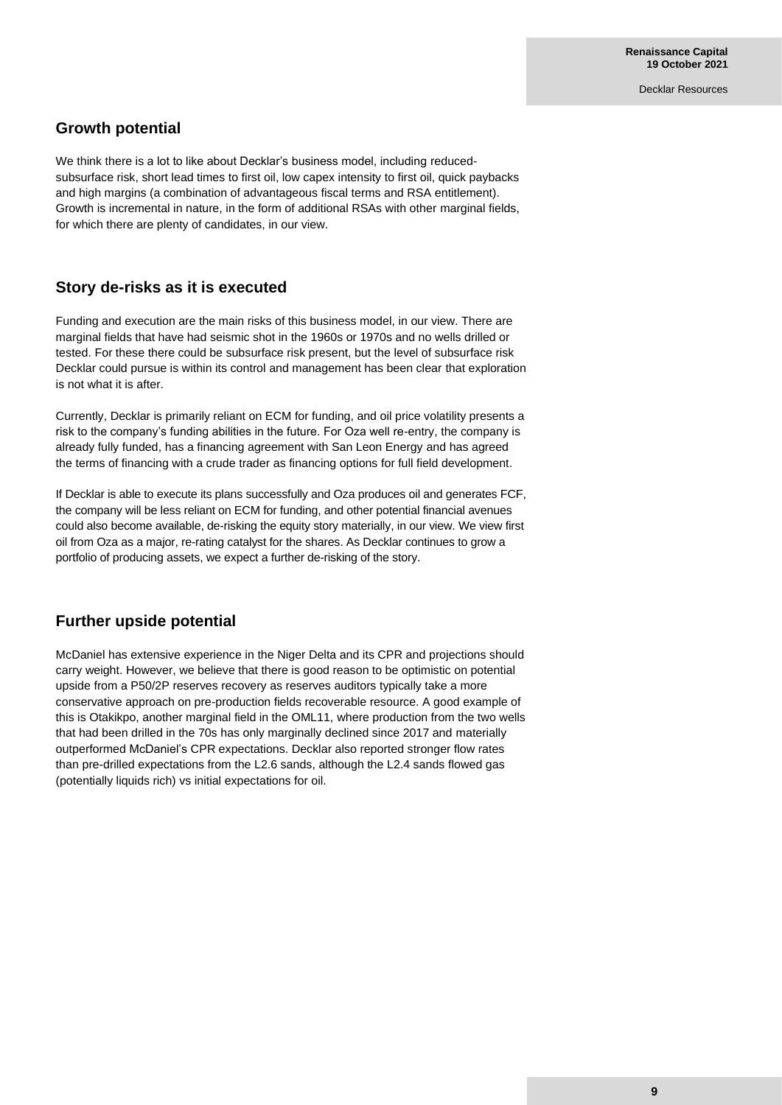## **Growth potential**

We think there is a lot to like about Decklar's business model, including reducedsubsurface risk, short lead times to first oil, low capex intensity to first oil, quick paybacks and high margins (a combination of advantageous fiscal terms and RSA entitlement). Growth is incremental in nature, in the form of additional RSAs with other marginal fields, for which there are plenty of candidates, in our view.

## **Story de-risks as it is executed**

Funding and execution are the main risks of this business model, in our view. There are marginal fields that have had seismic shot in the 1960s or 1970s and no wells drilled or tested. For these there could be subsurface risk present, but the level of subsurface risk Decklar could pursue is within its control and management has been clear that exploration is not what it is after.

Currently, Decklar is primarily reliant on ECM for funding, and oil price volatility presents a risk to the company's funding abilities in the future. For Oza well re-entry, the company is already fully funded, has a financing agreement with San Leon Energy and has agreed the terms of financing with a crude trader as financing options for full field development.

If Decklar is able to execute its plans successfully and Oza produces oil and generates FCF, the company will be less reliant on ECM for funding, and other potential financial avenues could also become available, de-risking the equity story materially, in our view. We view first oil from Oza as a major, re-rating catalyst for the shares. As Decklar continues to grow a portfolio of producing assets, we expect a further de-risking of the story.

## **Further upside potential**

McDaniel has extensive experience in the Niger Delta and its CPR and projections should carry weight. However, we believe that there is good reason to be optimistic on potential upside from a P50/2P reserves recovery as reserves auditors typically take a more conservative approach on pre-production fields recoverable resource. A good example of this is Otakikpo, another marginal field in the OML11, where production from the two wells that had been drilled in the 70s has only marginally declined since 2017 and materially outperformed McDaniel's CPR expectations. Decklar also reported stronger flow rates than pre-drilled expectations from the L2.6 sands, although the L2.4 sands flowed gas (potentially liquids rich) vs initial expectations for oil.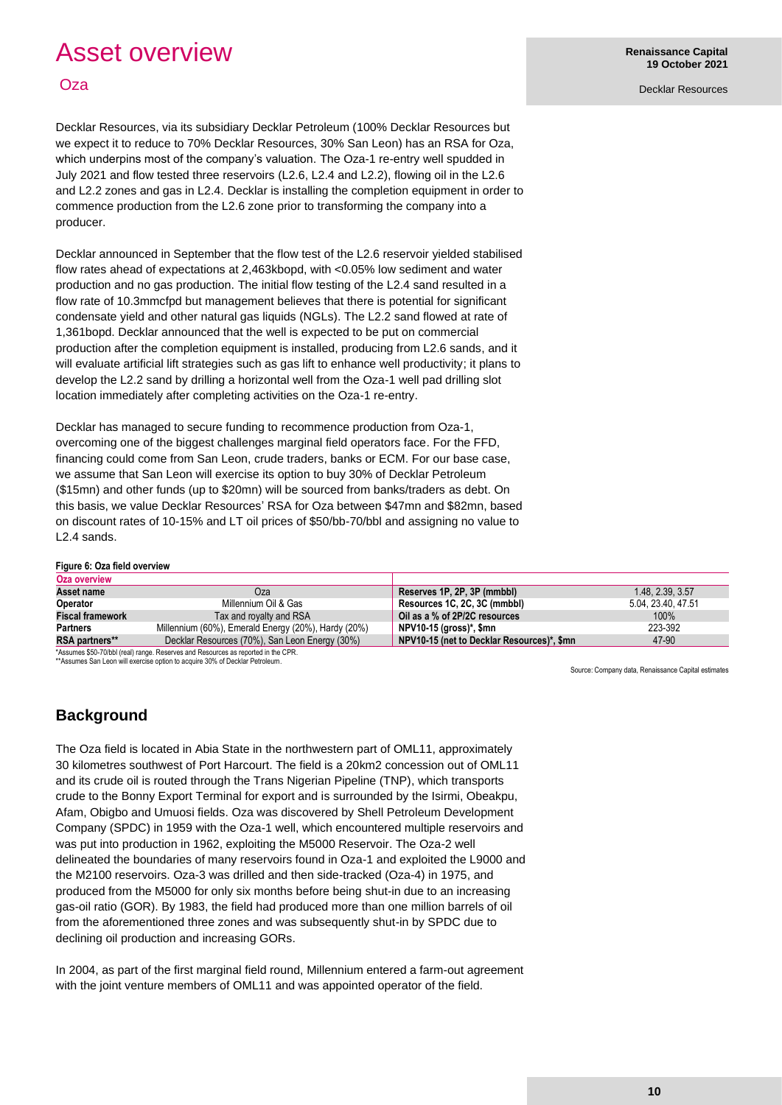## Asset overview

## **Oza**

**Renaissance Capital 19 October 2021**

Decklar Resources

Decklar Resources, via its subsidiary Decklar Petroleum (100% Decklar Resources but we expect it to reduce to 70% Decklar Resources, 30% San Leon) has an RSA for Oza, which underpins most of the company's valuation. The Oza-1 re-entry well spudded in July 2021 and flow tested three reservoirs (L2.6, L2.4 and L2.2), flowing oil in the L2.6 and L2.2 zones and gas in L2.4. Decklar is installing the completion equipment in order to commence production from the L2.6 zone prior to transforming the company into a producer.

Decklar announced in September that the flow test of the L2.6 reservoir yielded stabilised flow rates ahead of expectations at 2,463kbopd, with <0.05% low sediment and water production and no gas production. The initial flow testing of the L2.4 sand resulted in a flow rate of 10.3mmcfpd but management believes that there is potential for significant condensate yield and other natural gas liquids (NGLs). The L2.2 sand flowed at rate of 1,361bopd. Decklar announced that the well is expected to be put on commercial production after the completion equipment is installed, producing from L2.6 sands, and it will evaluate artificial lift strategies such as gas lift to enhance well productivity; it plans to develop the L2.2 sand by drilling a horizontal well from the Oza-1 well pad drilling slot location immediately after completing activities on the Oza-1 re-entry.

Decklar has managed to secure funding to recommence production from Oza-1, overcoming one of the biggest challenges marginal field operators face. For the FFD, financing could come from San Leon, crude traders, banks or ECM. For our base case, we assume that San Leon will exercise its option to buy 30% of Decklar Petroleum (\$15mn) and other funds (up to \$20mn) will be sourced from banks/traders as debt. On this basis, we value Decklar Resources' RSA for Oza between \$47mn and \$82mn, based on discount rates of 10-15% and LT oil prices of \$50/bb-70/bbl and assigning no value to L2.4 sands.

#### **Figure 6: Oza field overview**

| Oza overview            |                                                                                   |                                            |                  |  |  |  |  |  |  |  |
|-------------------------|-----------------------------------------------------------------------------------|--------------------------------------------|------------------|--|--|--|--|--|--|--|
| Asset name              | Oza                                                                               | Reserves 1P, 2P, 3P (mmbbl)                | 1.48, 2.39, 3.57 |  |  |  |  |  |  |  |
| Operator                | Millennium Oil & Gas                                                              | Resources 1C, 2C, 3C (mmbbl)               | 5.04.23.40.47.51 |  |  |  |  |  |  |  |
| <b>Fiscal framework</b> | Tax and royalty and RSA                                                           | Oil as a % of 2P/2C resources              | 100%             |  |  |  |  |  |  |  |
| <b>Partners</b>         | Millennium (60%), Emerald Energy (20%), Hardy (20%)                               | NPV10-15 (gross)*, \$mn                    | 223-392          |  |  |  |  |  |  |  |
| RSA partners**          | Decklar Resources (70%), San Leon Energy (30%)                                    | NPV10-15 (net to Decklar Resources)*, \$mn | 47-90            |  |  |  |  |  |  |  |
|                         | *Assumes \$50-70/bbl (real) range. Reserves and Resources as reported in the CPR. |                                            |                  |  |  |  |  |  |  |  |

\*\*Assumes San Leon will exercise option to acquire 30% of Decklar Petroleum.

Source: Company data, Renaissance Capital estimates

## **Background**

The Oza field is located in Abia State in the northwestern part of OML11, approximately 30 kilometres southwest of Port Harcourt. The field is a 20km2 concession out of OML11 and its crude oil is routed through the Trans Nigerian Pipeline (TNP), which transports crude to the Bonny Export Terminal for export and is surrounded by the Isirmi, Obeakpu, Afam, Obigbo and Umuosi fields. Oza was discovered by Shell Petroleum Development Company (SPDC) in 1959 with the Oza-1 well, which encountered multiple reservoirs and was put into production in 1962, exploiting the M5000 Reservoir. The Oza-2 well delineated the boundaries of many reservoirs found in Oza-1 and exploited the L9000 and the M2100 reservoirs. Oza-3 was drilled and then side-tracked (Oza-4) in 1975, and produced from the M5000 for only six months before being shut-in due to an increasing gas-oil ratio (GOR). By 1983, the field had produced more than one million barrels of oil from the aforementioned three zones and was subsequently shut-in by SPDC due to declining oil production and increasing GORs.

In 2004, as part of the first marginal field round, Millennium entered a farm-out agreement with the joint venture members of OML11 and was appointed operator of the field.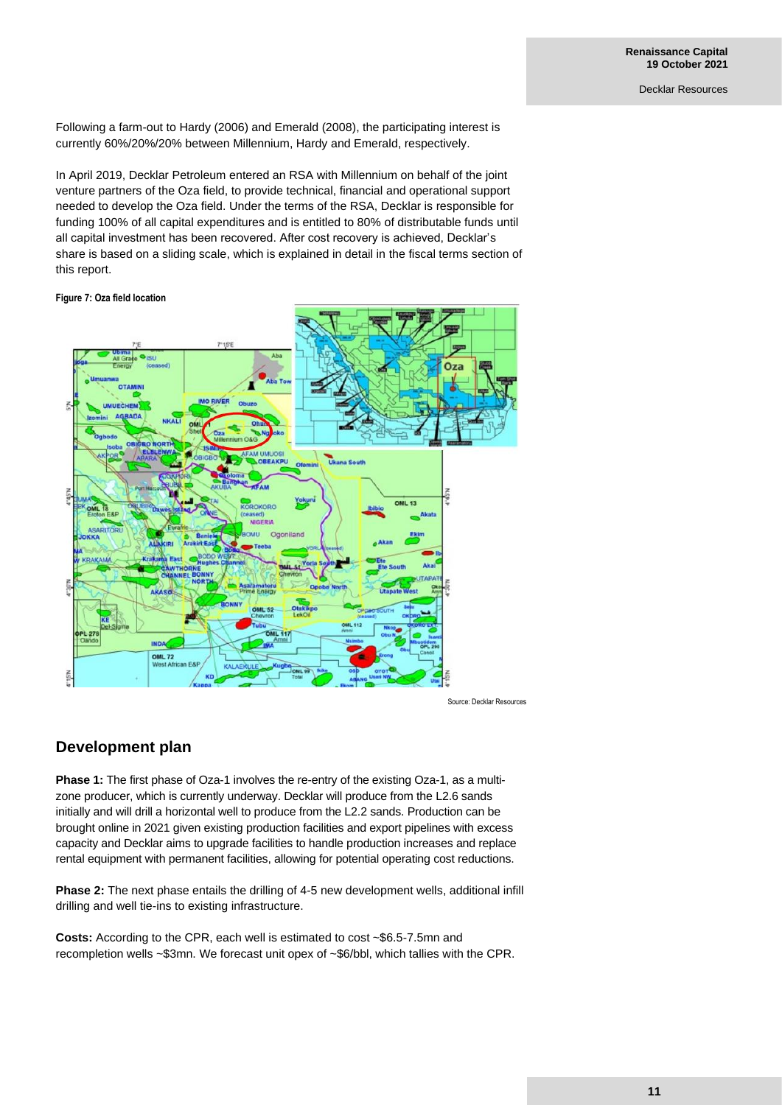Following a farm-out to Hardy (2006) and Emerald (2008), the participating interest is currently 60%/20%/20% between Millennium, Hardy and Emerald, respectively.

In April 2019, Decklar Petroleum entered an RSA with Millennium on behalf of the joint venture partners of the Oza field, to provide technical, financial and operational support needed to develop the Oza field. Under the terms of the RSA, Decklar is responsible for funding 100% of all capital expenditures and is entitled to 80% of distributable funds until all capital investment has been recovered. After cost recovery is achieved, Decklar's share is based on a sliding scale, which is explained in detail in the fiscal terms section of this report.

**Figure 7: Oza field location**



Source: Decklar Resources

## **Development plan**

Phase 1: The first phase of Oza-1 involves the re-entry of the existing Oza-1, as a multizone producer, which is currently underway. Decklar will produce from the L2.6 sands initially and will drill a horizontal well to produce from the L2.2 sands. Production can be brought online in 2021 given existing production facilities and export pipelines with excess capacity and Decklar aims to upgrade facilities to handle production increases and replace rental equipment with permanent facilities, allowing for potential operating cost reductions.

**Phase 2:** The next phase entails the drilling of 4-5 new development wells, additional infill drilling and well tie-ins to existing infrastructure.

**Costs:** According to the CPR, each well is estimated to cost ~\$6.5-7.5mn and recompletion wells ~\$3mn. We forecast unit opex of ~\$6/bbl, which tallies with the CPR.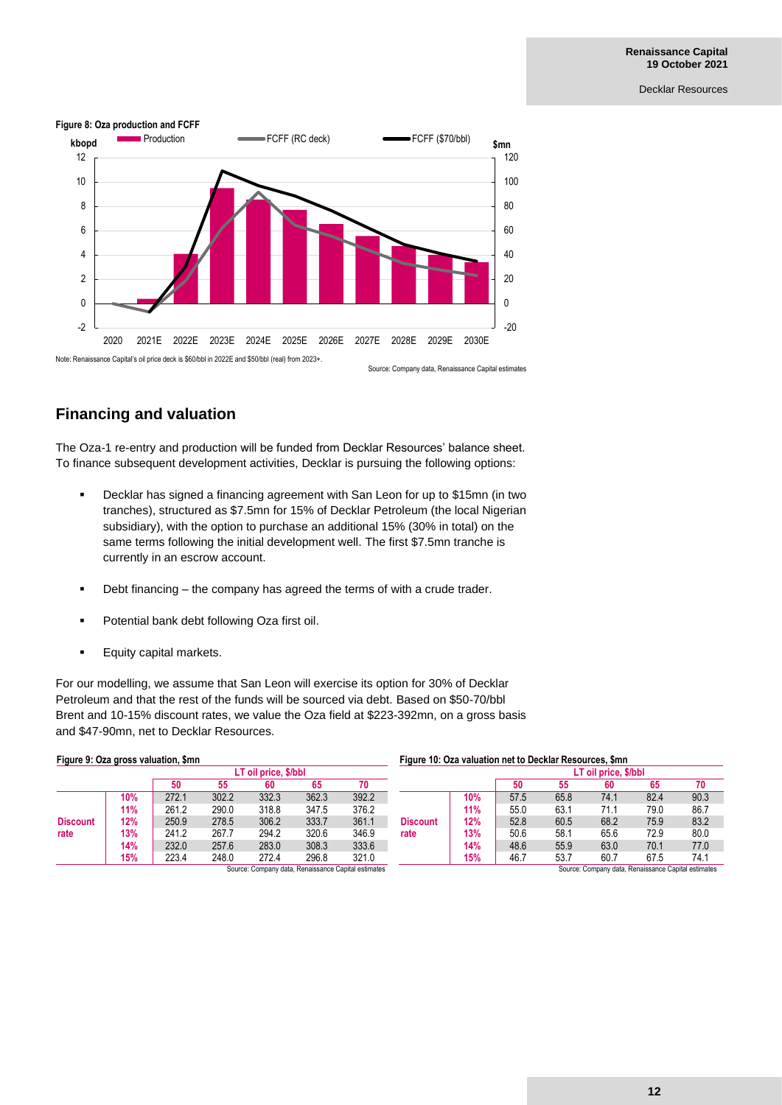

## **Financing and valuation**

The Oza-1 re-entry and production will be funded from Decklar Resources' balance sheet. To finance subsequent development activities, Decklar is pursuing the following options:

- Decklar has signed a financing agreement with San Leon for up to \$15mn (in two tranches), structured as \$7.5mn for 15% of Decklar Petroleum (the local Nigerian subsidiary), with the option to purchase an additional 15% (30% in total) on the same terms following the initial development well. The first \$7.5mn tranche is currently in an escrow account.
- Debt financing the company has agreed the terms of with a crude trader.
- Potential bank debt following Oza first oil.
- Equity capital markets.

For our modelling, we assume that San Leon will exercise its option for 30% of Decklar Petroleum and that the rest of the funds will be sourced via debt. Based on \$50-70/bbl Brent and 10-15% discount rates, we value the Oza field at \$223-392mn, on a gross basis and \$47-90mn, net to Decklar Resources.

| Figure 9: Oza gross valuation, \$mn<br>LT oil price, \$/bbl<br>50<br>65<br>55<br>60<br>302.2<br>362.3<br>332.3<br>272.1<br>10%<br>290.0<br>318.8<br>261.2<br>11%<br>347.5<br>306.2<br>333.7<br>250.9<br>278.5<br>12%<br>294.2<br>320.6<br>267.7<br>241.2<br>13%<br>rate |     |       |       |       |       |                                                     | Figure 10: Oza valuation net to Decklar Resources, \$mn |     |                      |      |                                                     |      |      |  |
|-------------------------------------------------------------------------------------------------------------------------------------------------------------------------------------------------------------------------------------------------------------------------|-----|-------|-------|-------|-------|-----------------------------------------------------|---------------------------------------------------------|-----|----------------------|------|-----------------------------------------------------|------|------|--|
|                                                                                                                                                                                                                                                                         |     |       |       |       |       |                                                     |                                                         |     | LT oil price, \$/bbl |      |                                                     |      |      |  |
|                                                                                                                                                                                                                                                                         |     |       |       |       |       | 70                                                  |                                                         |     | 50                   | 55   | 60                                                  | 65   | 70   |  |
| <b>Discount</b>                                                                                                                                                                                                                                                         |     |       |       |       |       | 392.2                                               |                                                         | 10% | 57.5                 | 65.8 | 74.1                                                | 82.4 | 90.3 |  |
|                                                                                                                                                                                                                                                                         |     |       |       |       |       | 376.2                                               |                                                         | 11% | 55.0                 | 63.1 | 71.1                                                | 79.0 | 86.7 |  |
|                                                                                                                                                                                                                                                                         |     |       |       |       |       | 361.1                                               | <b>Discount</b><br>rate                                 | 12% | 52.8                 | 60.5 | 68.2                                                | 75.9 | 83.2 |  |
|                                                                                                                                                                                                                                                                         |     |       |       |       |       | 346.9                                               |                                                         | 13% | 50.6                 | 58.1 | 65.6                                                | 72.9 | 80.0 |  |
|                                                                                                                                                                                                                                                                         | 14% | 232.0 | 257.6 | 283.0 | 308.3 | 333.6                                               |                                                         | 14% | 48.6                 | 55.9 | 63.0                                                | 70.1 | 77.0 |  |
|                                                                                                                                                                                                                                                                         | 15% | 223.4 | 248.0 | 272.4 | 296.8 | 321.0                                               |                                                         | 15% | 46.7                 | 53.7 | 60.7                                                | 67.5 | 74.1 |  |
|                                                                                                                                                                                                                                                                         |     |       |       |       |       | Source: Company data, Renaissance Capital estimates |                                                         |     |                      |      | Source: Company data, Renaissance Capital estimates |      |      |  |

#### **Figure 10: Oza valuation net to Decklar Resources, \$mn**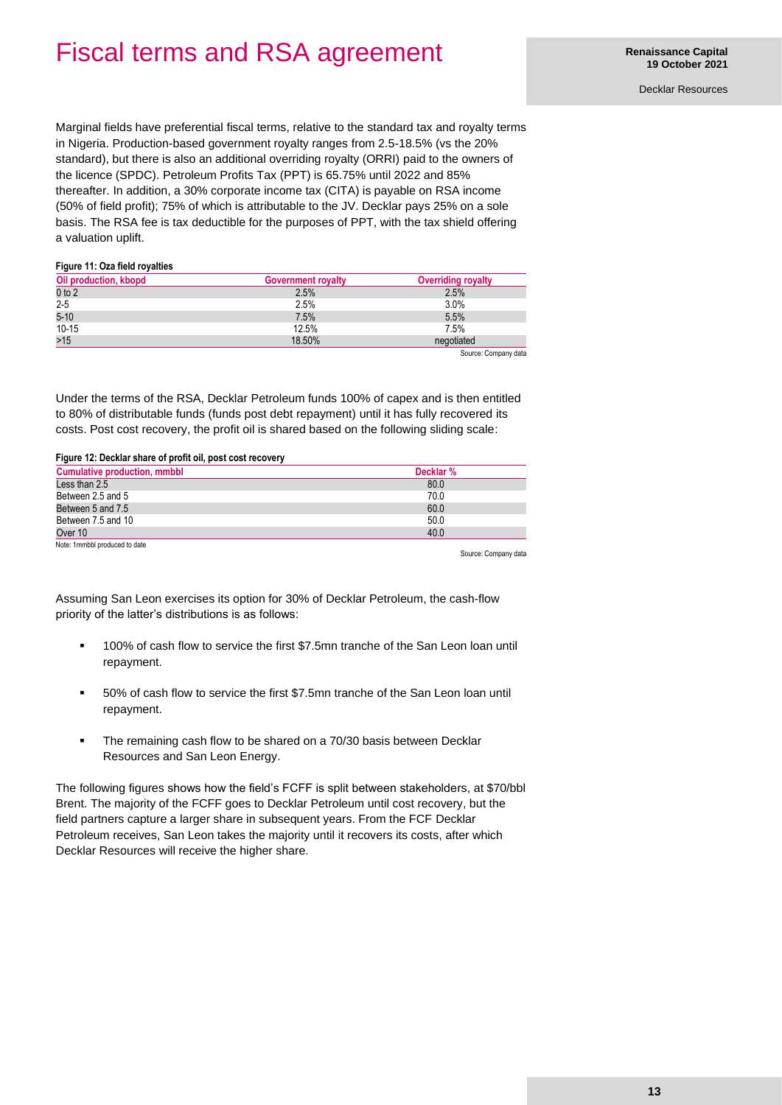## Fiscal terms and RSA agreement

Decklar Resources

Marginal fields have preferential fiscal terms, relative to the standard tax and royalty terms in Nigeria. Production-based government royalty ranges from 2.5-18.5% (vs the 20% standard), but there is also an additional overriding royalty (ORRI) paid to the owners of the licence (SPDC). Petroleum Profits Tax (PPT) is 65.75% until 2022 and 85% thereafter. In addition, a 30% corporate income tax (CITA) is payable on RSA income (50% of field profit); 75% of which is attributable to the JV. Decklar pays 25% on a sole basis. The RSA fee is tax deductible for the purposes of PPT, with the tax shield offering a valuation uplift.

#### **Figure 11: Oza field royalties**

| Oil production, kbopd | <b>Government royalty</b> | <b>Overriding royalty</b> |
|-----------------------|---------------------------|---------------------------|
| $0$ to $2$            | 2.5%                      | 2.5%                      |
| $2 - 5$               | 2.5%                      | 3.0%                      |
| $5 - 10$              | 7.5%                      | 5.5%                      |
| $10-15$               | 12.5%                     | 7.5%                      |
| $>15$                 | 18.50%                    | negotiated                |
|                       |                           | Source: Company data      |

Under the terms of the RSA, Decklar Petroleum funds 100% of capex and is then entitled to 80% of distributable funds (funds post debt repayment) until it has fully recovered its costs. Post cost recovery, the profit oil is shared based on the following sliding scale:

#### **Figure 12: Decklar share of profit oil, post cost recovery**

| <b>Cumulative production, mmbbl</b> | Decklar % |
|-------------------------------------|-----------|
| Less than 2.5                       | 80.0      |
| Between 2.5 and 5                   | 70.0      |
| Between 5 and 7.5                   | 60.0      |
| Between 7.5 and 10                  | 50.0      |
| Over 10                             | 40.0      |
| Note: 1mmbbl produced to date       |           |

Source: Company data

Assuming San Leon exercises its option for 30% of Decklar Petroleum, the cash-flow priority of the latter's distributions is as follows:

- 100% of cash flow to service the first \$7.5mn tranche of the San Leon loan until repayment.
- 50% of cash flow to service the first \$7.5mn tranche of the San Leon loan until repayment.
- The remaining cash flow to be shared on a 70/30 basis between Decklar Resources and San Leon Energy.

The following figures shows how the field's FCFF is split between stakeholders, at \$70/bbl Brent. The majority of the FCFF goes to Decklar Petroleum until cost recovery, but the field partners capture a larger share in subsequent years. From the FCF Decklar Petroleum receives, San Leon takes the majority until it recovers its costs, after which Decklar Resources will receive the higher share.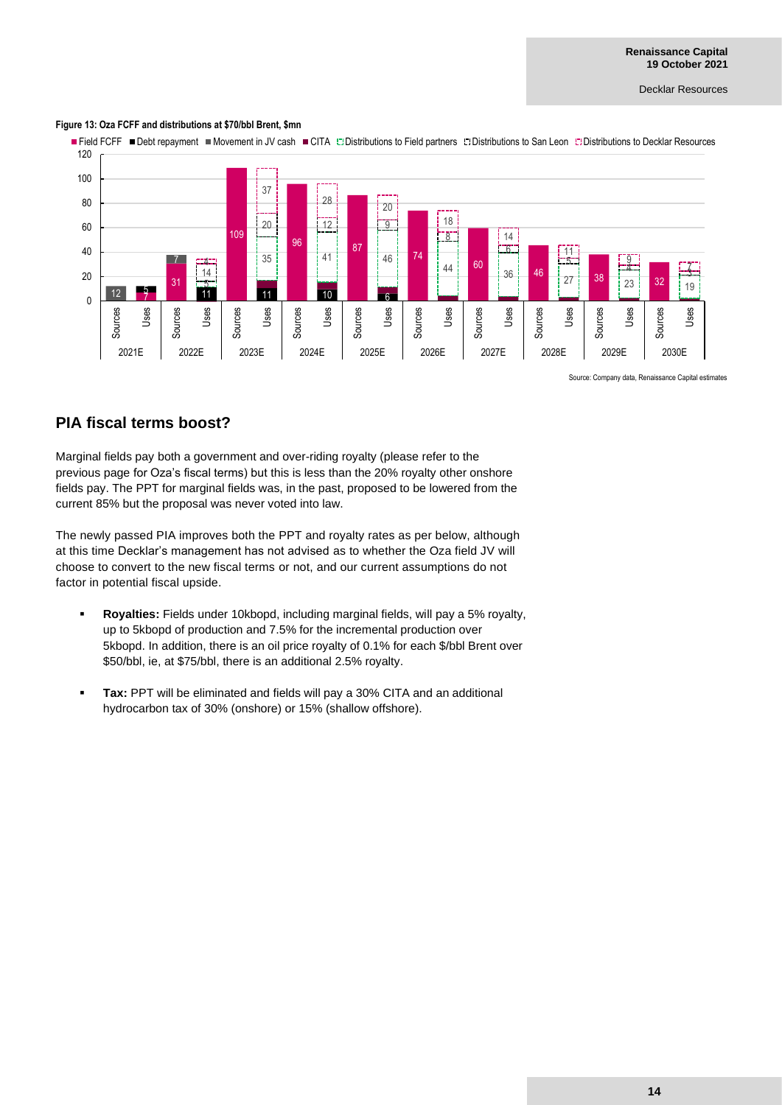#### **Figure 13: Oza FCFF and distributions at \$70/bbl Brent, \$mn**



Source: Company data, Renaissance Capital estimates

### **PIA fiscal terms boost?**

Marginal fields pay both a government and over-riding royalty (please refer to the previous page for Oza's fiscal terms) but this is less than the 20% royalty other onshore fields pay. The PPT for marginal fields was, in the past, proposed to be lowered from the current 85% but the proposal was never voted into law.

The newly passed PIA improves both the PPT and royalty rates as per below, although at this time Decklar's management has not advised as to whether the Oza field JV will choose to convert to the new fiscal terms or not, and our current assumptions do not factor in potential fiscal upside.

- **Royalties:** Fields under 10kbopd, including marginal fields, will pay a 5% royalty, up to 5kbopd of production and 7.5% for the incremental production over 5kbopd. In addition, there is an oil price royalty of 0.1% for each \$/bbl Brent over \$50/bbl, ie, at \$75/bbl, there is an additional 2.5% royalty.
- **Tax: PPT will be eliminated and fields will pay a 30% CITA and an additional** hydrocarbon tax of 30% (onshore) or 15% (shallow offshore).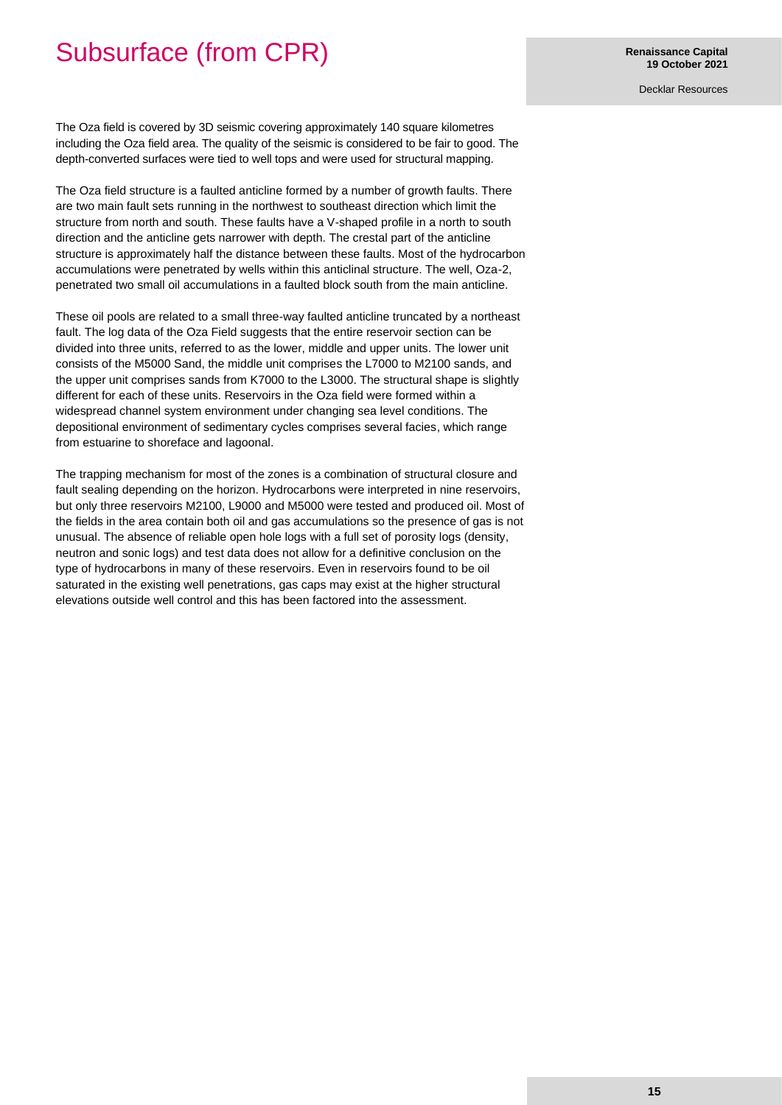## Subsurface (from CPR)

Decklar Resources

The Oza field is covered by 3D seismic covering approximately 140 square kilometres including the Oza field area. The quality of the seismic is considered to be fair to good. The depth-converted surfaces were tied to well tops and were used for structural mapping.

The Oza field structure is a faulted anticline formed by a number of growth faults. There are two main fault sets running in the northwest to southeast direction which limit the structure from north and south. These faults have a V-shaped profile in a north to south direction and the anticline gets narrower with depth. The crestal part of the anticline structure is approximately half the distance between these faults. Most of the hydrocarbon accumulations were penetrated by wells within this anticlinal structure. The well, Oza-2, penetrated two small oil accumulations in a faulted block south from the main anticline.

These oil pools are related to a small three-way faulted anticline truncated by a northeast fault. The log data of the Oza Field suggests that the entire reservoir section can be divided into three units, referred to as the lower, middle and upper units. The lower unit consists of the M5000 Sand, the middle unit comprises the L7000 to M2100 sands, and the upper unit comprises sands from K7000 to the L3000. The structural shape is slightly different for each of these units. Reservoirs in the Oza field were formed within a widespread channel system environment under changing sea level conditions. The depositional environment of sedimentary cycles comprises several facies, which range from estuarine to shoreface and lagoonal.

The trapping mechanism for most of the zones is a combination of structural closure and fault sealing depending on the horizon. Hydrocarbons were interpreted in nine reservoirs, but only three reservoirs M2100, L9000 and M5000 were tested and produced oil. Most of the fields in the area contain both oil and gas accumulations so the presence of gas is not unusual. The absence of reliable open hole logs with a full set of porosity logs (density, neutron and sonic logs) and test data does not allow for a definitive conclusion on the type of hydrocarbons in many of these reservoirs. Even in reservoirs found to be oil saturated in the existing well penetrations, gas caps may exist at the higher structural elevations outside well control and this has been factored into the assessment.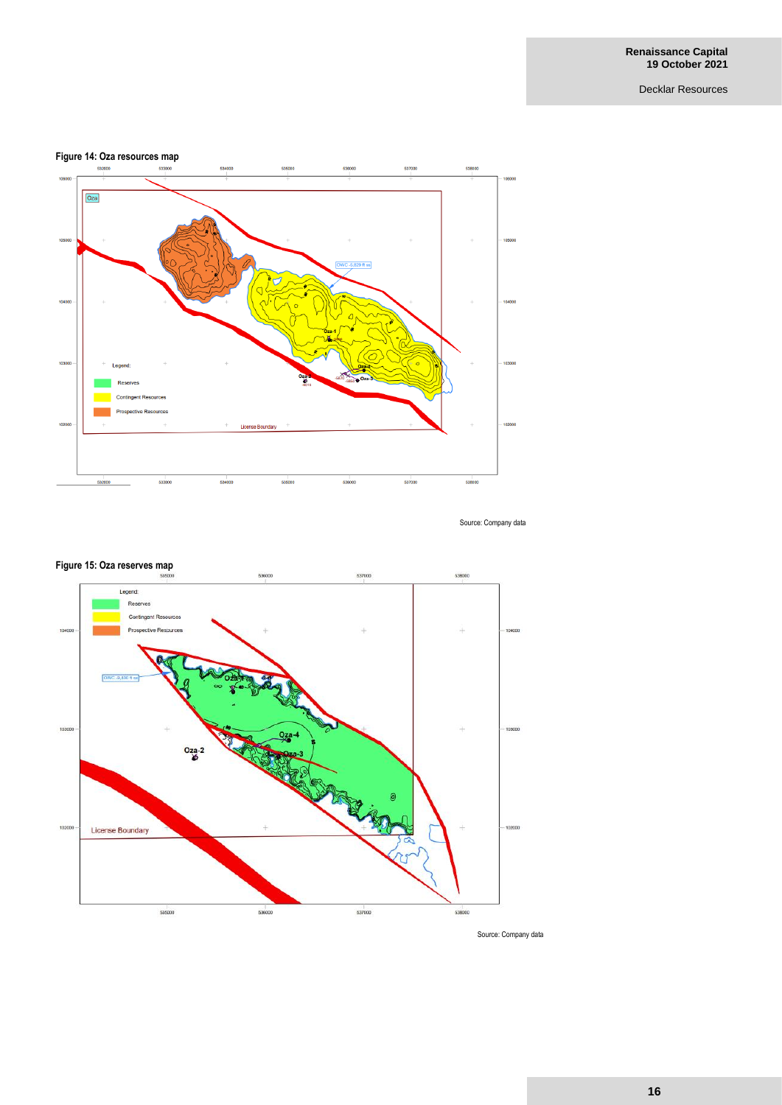### **Figure 14: Oza resources map**



Source: Company data



### **Figure 15: Oza reserves map**

Source: Company data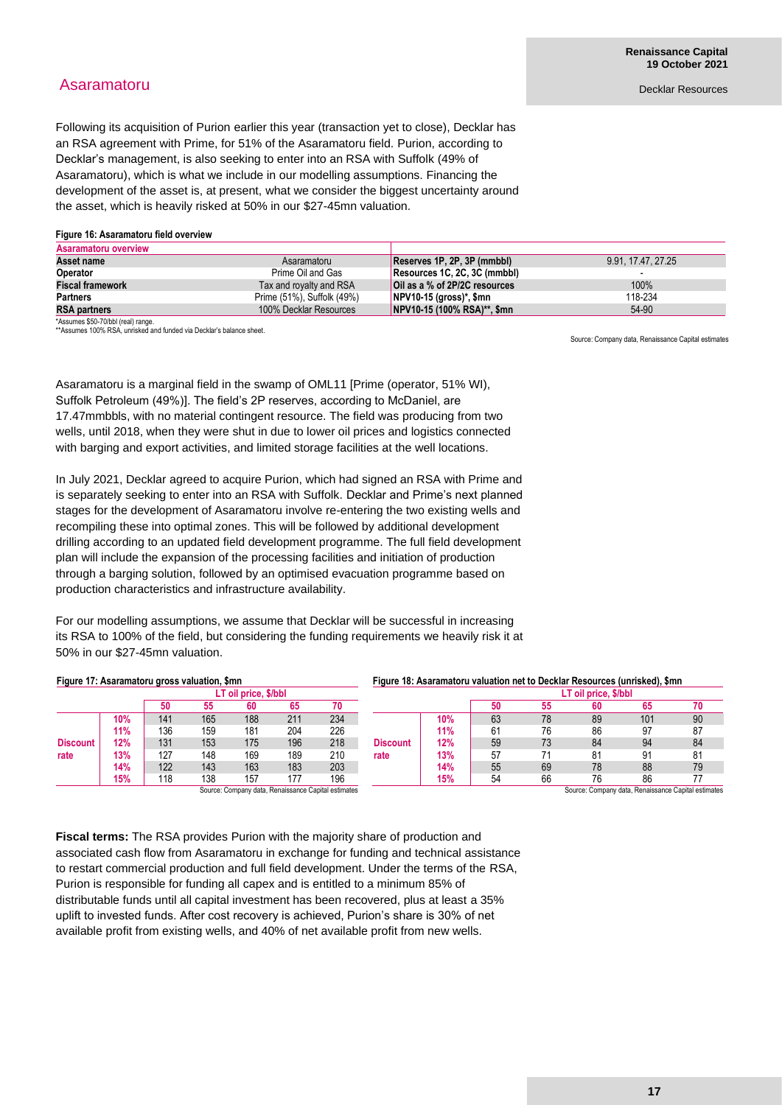## Asaramatoru

Following its acquisition of Purion earlier this year (transaction yet to close), Decklar has an RSA agreement with Prime, for 51% of the Asaramatoru field. Purion, according to Decklar's management, is also seeking to enter into an RSA with Suffolk (49% of Asaramatoru), which is what we include in our modelling assumptions. Financing the development of the asset is, at present, what we consider the biggest uncertainty around the asset, which is heavily risked at 50% in our \$27-45mn valuation.

#### **Figure 16: Asaramatoru field overview**

| Asaramatoru overview    |                            |                                          |                    |
|-------------------------|----------------------------|------------------------------------------|--------------------|
| Asset name              | Asaramatoru                | Reserves 1P. 2P. 3P (mmbbl)              | 9.91, 17.47, 27.25 |
| <b>Operator</b>         | Prime Oil and Gas          | Resources 1C, 2C, 3C (mmbbl)             |                    |
| <b>Fiscal framework</b> | Tax and royalty and RSA    | Oil as a % of 2P/2C resources            | 100%               |
| <b>Partners</b>         | Prime (51%), Suffolk (49%) | $\sqrt{\text{NPV}}$ 10-15 (gross)*, \$mn | 118-234            |
| <b>RSA partners</b>     | 100% Decklar Resources     | NPV10-15 (100% RSA)**, \$mn              | 54-90              |

\*Assumes \$50-70/bbl (real) range.

\*\*Assumes 100% RSA, unrisked and funded via Decklar's balance sheet.

Source: Company data, Renaissance Capital estimates

Asaramatoru is a marginal field in the swamp of OML11 [Prime (operator, 51% WI), Suffolk Petroleum (49%)]. The field's 2P reserves, according to McDaniel, are 17.47mmbbls, with no material contingent resource. The field was producing from two wells, until 2018, when they were shut in due to lower oil prices and logistics connected with barging and export activities, and limited storage facilities at the well locations.

In July 2021, Decklar agreed to acquire Purion, which had signed an RSA with Prime and is separately seeking to enter into an RSA with Suffolk. Decklar and Prime's next planned stages for the development of Asaramatoru involve re-entering the two existing wells and recompiling these into optimal zones. This will be followed by additional development drilling according to an updated field development programme. The full field development plan will include the expansion of the processing facilities and initiation of production through a barging solution, followed by an optimised evacuation programme based on production characteristics and infrastructure availability.

For our modelling assumptions, we assume that Decklar will be successful in increasing its RSA to 100% of the field, but considering the funding requirements we heavily risk it at 50% in our \$27-45mn valuation.

| Figure 17: Asaramatoru gross valuation, \$mn |     |     |     |                      |     |                                                     | Figure 18: Asaramatoru valuation net to Decklar Resources (unrisked), \$mn |     |     |    |                |                                                     |     |    |
|----------------------------------------------|-----|-----|-----|----------------------|-----|-----------------------------------------------------|----------------------------------------------------------------------------|-----|-----|----|----------------|-----------------------------------------------------|-----|----|
|                                              |     |     |     | LT oil price, \$/bbl |     |                                                     | LT oil price, \$/bbl                                                       |     |     |    |                |                                                     |     |    |
|                                              |     | 50  | 55  | 60                   | 65  | 70                                                  |                                                                            |     | 50  | 55 | 60             | 65                                                  | 70  |    |
| <b>Discount</b>                              | 10% | 141 | 165 | 188                  | 211 | 234                                                 | <b>Discount</b><br>rate                                                    |     | 10% | 63 | 78             | 89                                                  | 101 | 90 |
|                                              | 11% | 136 | 159 | 181                  | 204 | 226                                                 |                                                                            | 11% | 61  | 76 | 86             | 97                                                  | 87  |    |
|                                              | 12% | 131 | 153 | 175                  | 196 | 218                                                 |                                                                            | 12% | 59  | 73 | 84             | 94                                                  | 84  |    |
| rate                                         | 13% | 127 | 148 | 169                  | 189 | 210                                                 |                                                                            | 13% | 57  |    | 8 <sup>4</sup> | 91                                                  | 81  |    |
|                                              | 14% | 122 | 143 | 163                  | 183 | 203                                                 |                                                                            | 14% | 55  | 69 | 78             | 88                                                  | 79  |    |
|                                              | 15% | 118 | 138 | 157                  | 177 | 196                                                 |                                                                            | 15% | 54  | 66 | 76             | 86                                                  |     |    |
|                                              |     |     |     |                      |     | Source: Company data, Renaissance Capital estimates |                                                                            |     |     |    |                | Source: Company data, Renaissance Capital estimates |     |    |

**Fiscal terms:** The RSA provides Purion with the majority share of production and associated cash flow from Asaramatoru in exchange for funding and technical assistance to restart commercial production and full field development. Under the terms of the RSA, Purion is responsible for funding all capex and is entitled to a minimum 85% of distributable funds until all capital investment has been recovered, plus at least a 35% uplift to invested funds. After cost recovery is achieved, Purion's share is 30% of net

available profit from existing wells, and 40% of net available profit from new wells.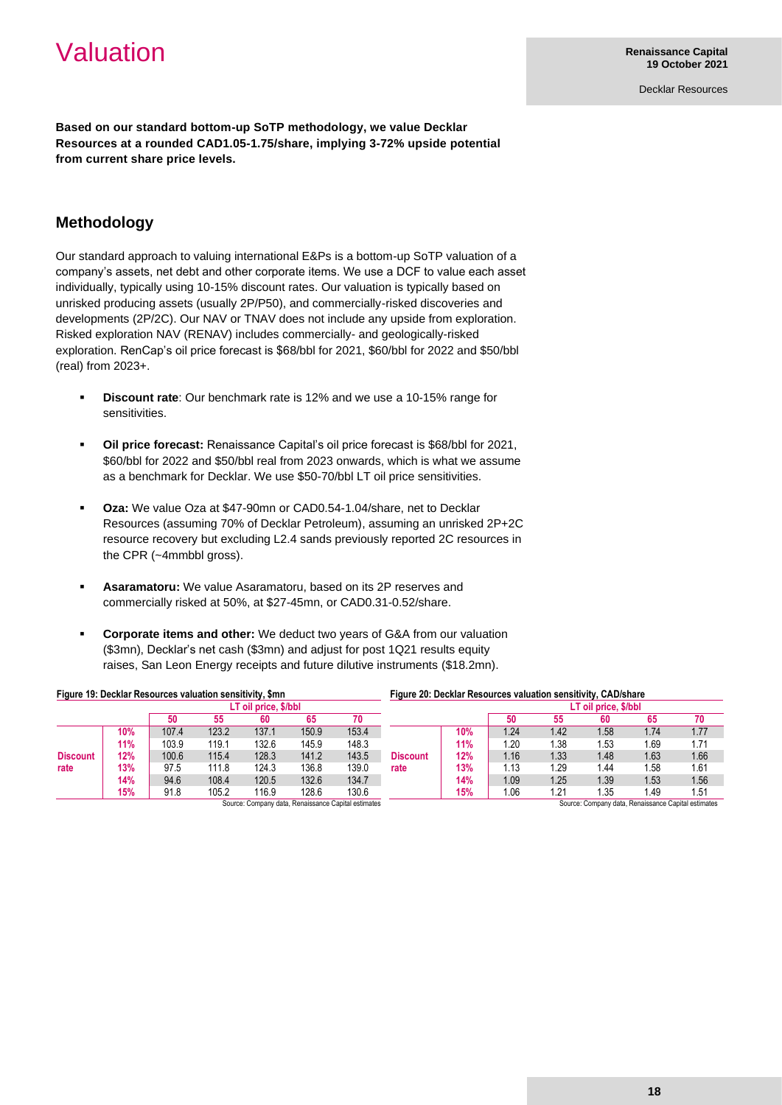## Valuation

Decklar Resources

**Based on our standard bottom-up SoTP methodology, we value Decklar Resources at a rounded CAD1.05-1.75/share, implying 3-72% upside potential from current share price levels.**

## **Methodology**

Our standard approach to valuing international E&Ps is a bottom-up SoTP valuation of a company's assets, net debt and other corporate items. We use a DCF to value each asset individually, typically using 10-15% discount rates. Our valuation is typically based on unrisked producing assets (usually 2P/P50), and commercially-risked discoveries and developments (2P/2C). Our NAV or TNAV does not include any upside from exploration. Risked exploration NAV (RENAV) includes commercially- and geologically-risked exploration. RenCap's oil price forecast is \$68/bbl for 2021, \$60/bbl for 2022 and \$50/bbl (real) from 2023+.

- **Discount rate:** Our benchmark rate is 12% and we use a 10-15% range for sensitivities.
- **Oil price forecast:** Renaissance Capital's oil price forecast is \$68/bbl for 2021, \$60/bbl for 2022 and \$50/bbl real from 2023 onwards, which is what we assume as a benchmark for Decklar. We use \$50-70/bbl LT oil price sensitivities.
- **Oza:** We value Oza at \$47-90mn or CAD0.54-1.04/share, net to Decklar Resources (assuming 70% of Decklar Petroleum), assuming an unrisked 2P+2C resource recovery but excluding L2.4 sands previously reported 2C resources in the CPR (~4mmbbl gross).
- Asaramatoru: We value Asaramatoru, based on its 2P reserves and commercially risked at 50%, at \$27-45mn, or CAD0.31-0.52/share.
- **Corporate items and other:** We deduct two years of G&A from our valuation (\$3mn), Decklar's net cash (\$3mn) and adjust for post 1Q21 results equity raises, San Leon Energy receipts and future dilutive instruments (\$18.2mn).

| Figure 19: Decklar Resources valuation sensitivity, \$mn |            |       |       |       |       |            | Figure 20: Decklar Resources valuation sensitivity, CAD/share |     |                  |      |                      |           |      |  |
|----------------------------------------------------------|------------|-------|-------|-------|-------|------------|---------------------------------------------------------------|-----|------------------|------|----------------------|-----------|------|--|
| LT oil price, \$/bbl                                     |            |       |       |       |       |            |                                                               |     |                  |      | LT oil price, \$/bbl |           |      |  |
|                                                          |            | 50    | 55    | 60    | 65    | 70         |                                                               |     | 50               | 55   | 60                   | 65        | 70   |  |
| <b>Discount</b>                                          | 10%        | 107.4 | 123.2 | 137.1 | 150.9 | 153.4      |                                                               | 10% | 1.24             | 1.42 | 1.58                 | 1.74      | 1.77 |  |
|                                                          | <b>11%</b> | 103.9 | 119.1 | 132.6 | 145.9 | 148.3      |                                                               | 11% | 1.20             | 1.38 | 1.53                 | . 69      | 1.71 |  |
|                                                          | 12%        | 100.6 | 115.4 | 128.3 | 141.2 | 143.5      | <b>Discount</b>                                               | 12% | 1.16             | 1.33 | 1.48                 | 1.63      | 1.66 |  |
| rate                                                     | 13%        | 97.5  | 111.8 | 124.3 | 136.8 | 139.0      | rate                                                          | 13% | $\overline{.13}$ | l.29 | 1.44                 | .58       | 1.61 |  |
|                                                          | 14%        | 94.6  | 108.4 | 120.5 | 132.6 | 134.7      |                                                               | 14% | 1.09             | 1.25 | 1.39                 | 1.53      | 1.56 |  |
|                                                          | 15%        | 91.8  | 105.2 | 116.9 | 128.6 | 130.6<br>. |                                                               | 15% | 1.06             | 1.21 | 1.35                 | l.49<br>. | 1.51 |  |

Source: Company data, Renaissance Capital estimates

Source: Company data, Renaissance Capital estimates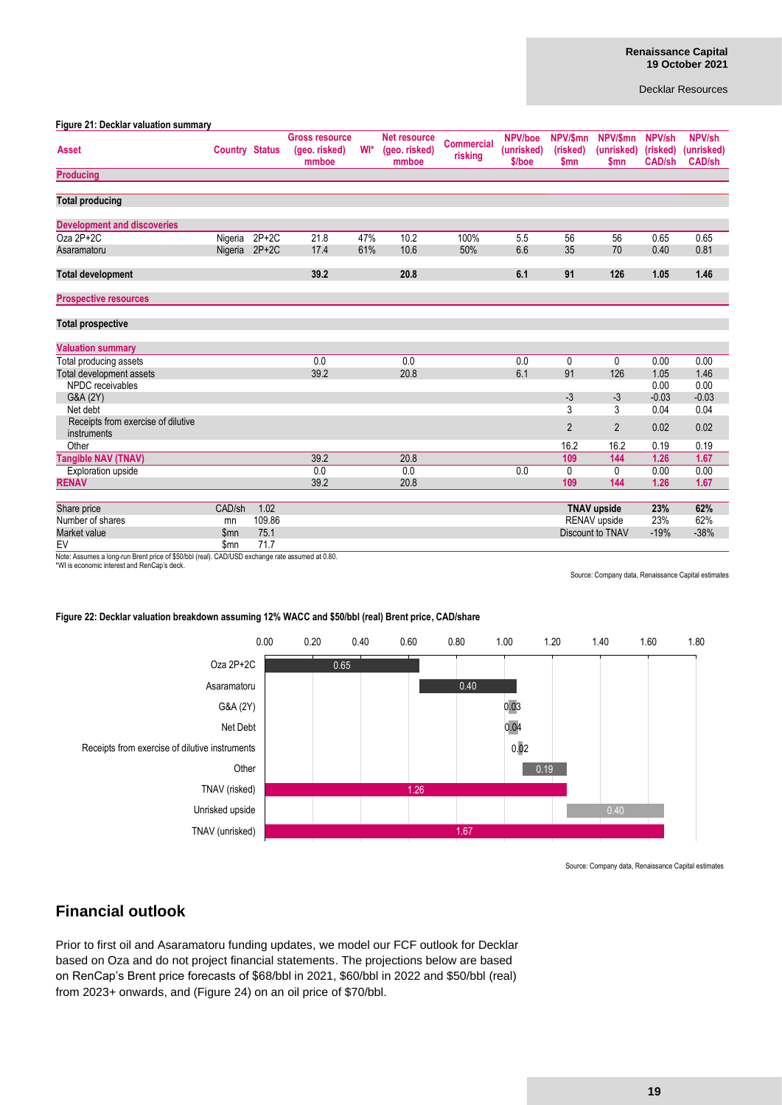#### **Figure 21: Decklar valuation summary**

| $19410 + 11$ booking valuation cultimize          |                       |         | <b>Gross resource</b>  |     | <b>Net resource</b>    |                              | NPV/boe              | NPV/\$mn         | NPV/\$mn                 | NPV/sh                    | NPV/sh                      |
|---------------------------------------------------|-----------------------|---------|------------------------|-----|------------------------|------------------------------|----------------------|------------------|--------------------------|---------------------------|-----------------------------|
| <b>Asset</b>                                      | <b>Country Status</b> |         | (geo. risked)<br>mmboe | WI* | (geo. risked)<br>mmboe | <b>Commercial</b><br>risking | (unrisked)<br>\$/boe | (risked)<br>\$mn | (unrisked)<br><b>Smn</b> | (risked)<br><b>CAD/sh</b> | (unrisked)<br><b>CAD/sh</b> |
| <b>Producing</b>                                  |                       |         |                        |     |                        |                              |                      |                  |                          |                           |                             |
|                                                   |                       |         |                        |     |                        |                              |                      |                  |                          |                           |                             |
| <b>Total producing</b>                            |                       |         |                        |     |                        |                              |                      |                  |                          |                           |                             |
| <b>Development and discoveries</b>                |                       |         |                        |     |                        |                              |                      |                  |                          |                           |                             |
| $Oza 2P+2C$                                       | Nigeria               | $2P+2C$ | 21.8                   | 47% | 10.2                   | 100%                         | 5.5                  | 56               | 56                       | 0.65                      | 0.65                        |
| Asaramatoru                                       | Nigeria 2P+2C         |         | 17.4                   | 61% | 10.6                   | 50%                          | 6.6                  | 35               | 70                       | 0.40                      | 0.81                        |
| <b>Total development</b>                          |                       |         | 39.2                   |     | 20.8                   |                              | 6.1                  | 91               | 126                      | 1.05                      | 1.46                        |
| <b>Prospective resources</b>                      |                       |         |                        |     |                        |                              |                      |                  |                          |                           |                             |
| <b>Total prospective</b>                          |                       |         |                        |     |                        |                              |                      |                  |                          |                           |                             |
| <b>Valuation summary</b>                          |                       |         |                        |     |                        |                              |                      |                  |                          |                           |                             |
| Total producing assets                            |                       |         | 0.0                    |     | 0.0                    |                              | 0.0                  | 0                | 0                        | 0.00                      | 0.00                        |
| Total development assets                          |                       |         | 39.2                   |     | 20.8                   |                              | 6.1                  | 91               | 126                      | 1.05                      | 1.46                        |
| NPDC receivables                                  |                       |         |                        |     |                        |                              |                      |                  |                          | 0.00                      | 0.00                        |
| G&A (2Y)                                          |                       |         |                        |     |                        |                              |                      | $-3$             | $-3$                     | $-0.03$                   | $-0.03$                     |
| Net debt                                          |                       |         |                        |     |                        |                              |                      | 3                | 3                        | 0.04                      | 0.04                        |
| Receipts from exercise of dilutive<br>instruments |                       |         |                        |     |                        |                              |                      | $\overline{2}$   | $\overline{2}$           | 0.02                      | 0.02                        |
| Other                                             |                       |         |                        |     |                        |                              |                      | 16.2             | 16.2                     | 0.19                      | 0.19                        |
| <b>Tangible NAV (TNAV)</b>                        |                       |         | 39.2                   |     | 20.8                   |                              |                      | 109              | 144                      | 1.26                      | 1.67                        |
| Exploration upside                                |                       |         | 0.0                    |     | 0.0                    |                              | 0.0                  | 0                | 0                        | 0.00                      | 0.00                        |
| <b>RENAV</b>                                      |                       |         | 39.2                   |     | 20.8                   |                              |                      | 109              | 144                      | 1.26                      | 1.67                        |
| Share price                                       | CAD/sh                | 1.02    |                        |     |                        |                              |                      |                  | <b>TNAV upside</b>       | 23%                       | 62%                         |
| Number of shares                                  | mn                    | 109.86  |                        |     |                        |                              |                      |                  | RENAV upside             | 23%                       | 62%                         |
| Market value                                      | \$mn                  | 75.1    |                        |     |                        |                              |                      |                  | Discount to TNAV         | $-19%$                    | $-38%$                      |
| EV                                                | \$mn                  | 71.7    |                        |     |                        |                              |                      |                  |                          |                           |                             |
|                                                   |                       |         |                        |     |                        |                              |                      |                  |                          |                           |                             |

Note: Assumes a long-run Brent price of \$50/bbl (real). CAD/USD exchange rate assumed at 0.80.

\*WI is economic interest and RenCap's deck.

Source: Company data, Renaissance Capital estimates

### **Figure 22: Decklar valuation breakdown assuming 12% WACC and \$50/bbl (real) Brent price, CAD/share**



Source: Company data, Renaissance Capital estimates

### **Financial outlook**

Prior to first oil and Asaramatoru funding updates, we model our FCF outlook for Decklar based on Oza and do not project financial statements. The projections below are based on RenCap's Brent price forecasts of \$68/bbl in 2021, \$60/bbl in 2022 and \$50/bbl (real) from 2023+ onwards, and (Figure 24) on an oil price of \$70/bbl.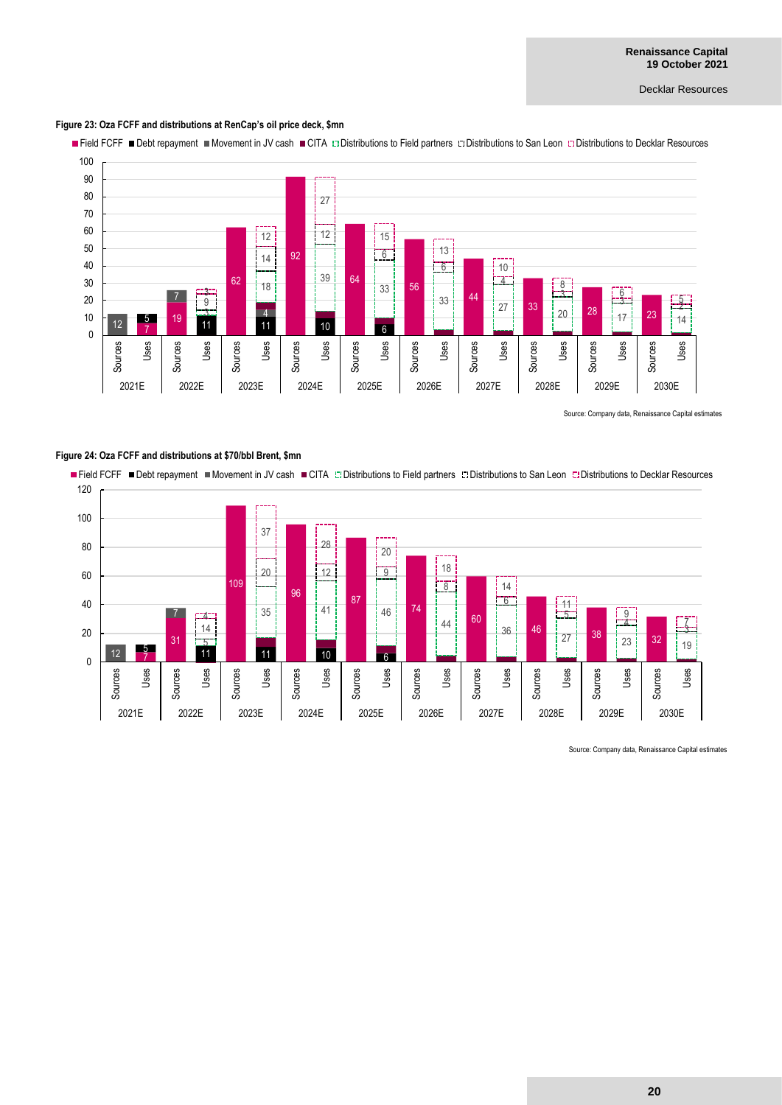#### **Figure 23: Oza FCFF and distributions at RenCap's oil price deck, \$mn**

Field FCFF Debt repayment Movement in JV cash CITA Distributions to Field partners L'IDistributions to San Leon Distributions to Decklar Resources



Source: Company data, Renaissance Capital estimates



Source: Company data, Renaissance Capital estimates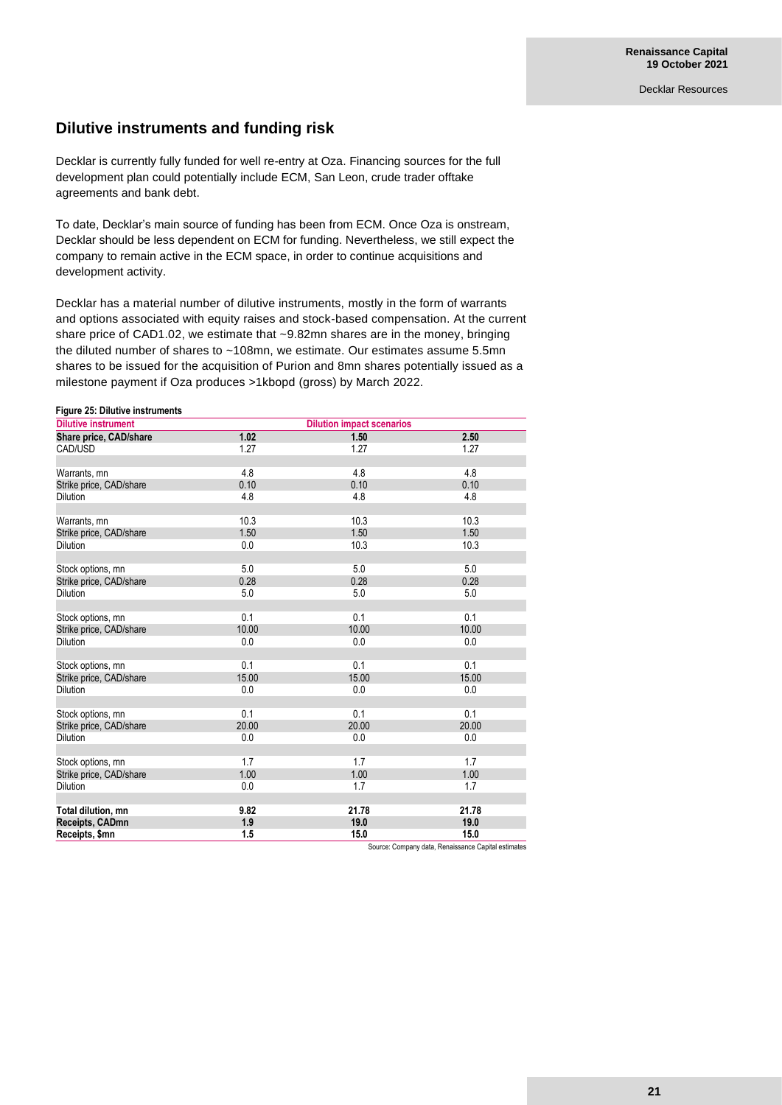### **Dilutive instruments and funding risk**

Decklar is currently fully funded for well re-entry at Oza. Financing sources for the full development plan could potentially include ECM, San Leon, crude trader offtake agreements and bank debt.

To date, Decklar's main source of funding has been from ECM. Once Oza is onstream, Decklar should be less dependent on ECM for funding. Nevertheless, we still expect the company to remain active in the ECM space, in order to continue acquisitions and development activity.

Decklar has a material number of dilutive instruments, mostly in the form of warrants and options associated with equity raises and stock-based compensation. At the current share price of CAD1.02, we estimate that ~9.82mn shares are in the money, bringing the diluted number of shares to ~108mn, we estimate. Our estimates assume 5.5mn shares to be issued for the acquisition of Purion and 8mn shares potentially issued as a milestone payment if Oza produces >1kbopd (gross) by March 2022.

#### **Figure 25: Dilutive instruments**

| <b>Dilutive instrument</b> | <b>Dilution impact scenarios</b> |       |       |  |  |
|----------------------------|----------------------------------|-------|-------|--|--|
| Share price, CAD/share     | 1.02                             | 1.50  | 2.50  |  |  |
| CAD/USD                    | 1.27                             | 1.27  | 1.27  |  |  |
|                            |                                  |       |       |  |  |
| Warrants, mn               | 4.8                              | 4.8   | 4.8   |  |  |
| Strike price, CAD/share    | 0.10                             | 0.10  | 0.10  |  |  |
| <b>Dilution</b>            | 4.8                              | 4.8   | 4.8   |  |  |
|                            |                                  |       |       |  |  |
| Warrants, mn               | 10.3                             | 10.3  | 10.3  |  |  |
| Strike price, CAD/share    | 1.50                             | 1.50  | 1.50  |  |  |
| <b>Dilution</b>            | 0.0                              | 10.3  | 10.3  |  |  |
|                            |                                  |       |       |  |  |
| Stock options, mn          | 5.0                              | 5.0   | 5.0   |  |  |
| Strike price, CAD/share    | 0.28                             | 0.28  | 0.28  |  |  |
| Dilution                   | 5.0                              | 5.0   | 5.0   |  |  |
|                            |                                  |       |       |  |  |
| Stock options, mn          | 0.1                              | 0.1   | 0.1   |  |  |
| Strike price, CAD/share    | 10.00                            | 10.00 | 10.00 |  |  |
| <b>Dilution</b>            | 0.0                              | 0.0   | 0.0   |  |  |
|                            |                                  |       |       |  |  |
| Stock options, mn          | 0.1                              | 0.1   | 0.1   |  |  |
| Strike price, CAD/share    | 15.00                            | 15.00 | 15.00 |  |  |
| <b>Dilution</b>            | 0.0                              | 0.0   | 0.0   |  |  |
|                            |                                  |       |       |  |  |
| Stock options, mn          | 0.1                              | 0.1   | 0.1   |  |  |
| Strike price, CAD/share    | 20.00                            | 20.00 | 20.00 |  |  |
| <b>Dilution</b>            | 0.0                              | 0.0   | 0.0   |  |  |
|                            |                                  |       |       |  |  |
| Stock options, mn          | 1.7                              | 1.7   | 1.7   |  |  |
| Strike price, CAD/share    | 1.00                             | 1.00  | 1.00  |  |  |
| <b>Dilution</b>            | 0.0                              | 1.7   | 1.7   |  |  |
|                            |                                  |       |       |  |  |
| Total dilution, mn         | 9.82                             | 21.78 | 21.78 |  |  |
| Receipts, CADmn            | 1.9                              | 19.0  | 19.0  |  |  |
| Receipts, \$mn             | 1.5                              | 15.0  | 15.0  |  |  |

Source: Company data, Renaissance Capital estimates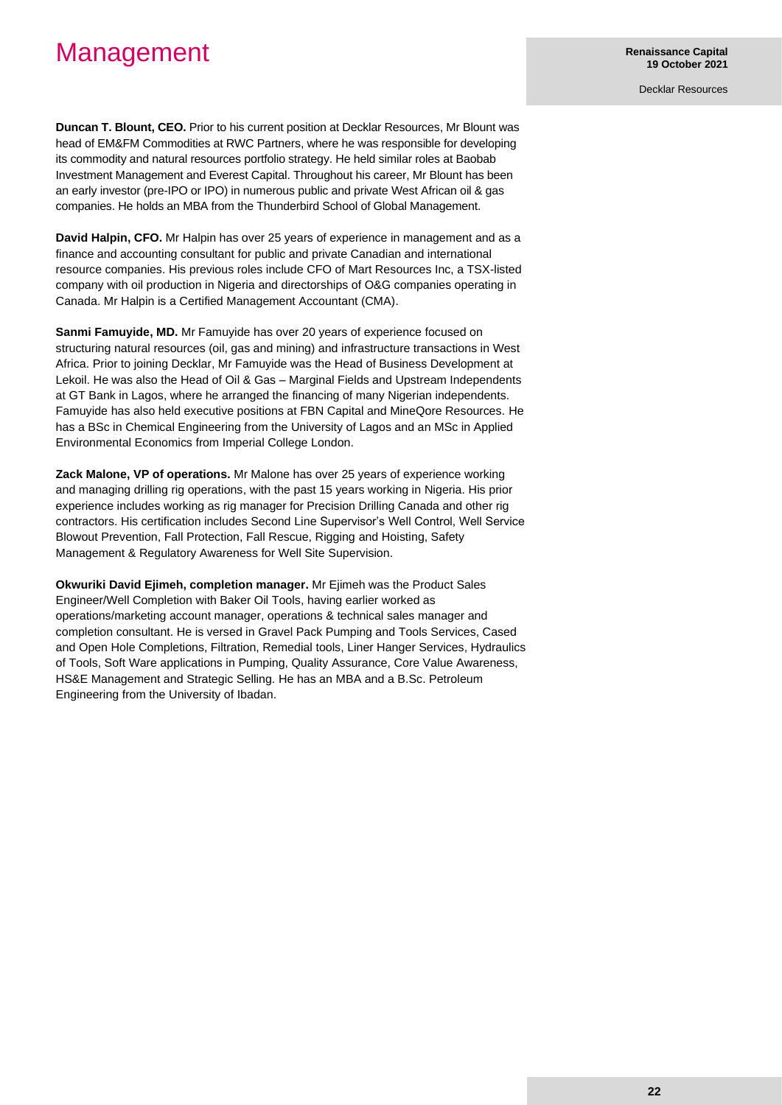## Management

Decklar Resources

**Duncan T. Blount, CEO.** Prior to his current position at Decklar Resources, Mr Blount was head of EM&FM Commodities at RWC Partners, where he was responsible for developing its commodity and natural resources portfolio strategy. He held similar roles at Baobab Investment Management and Everest Capital. Throughout his career, Mr Blount has been an early investor (pre-IPO or IPO) in numerous public and private West African oil & gas companies. He holds an MBA from the Thunderbird School of Global Management.

**David Halpin, CFO.** Mr Halpin has over 25 years of experience in management and as a finance and accounting consultant for public and private Canadian and international resource companies. His previous roles include CFO of Mart Resources Inc, a TSX-listed company with oil production in Nigeria and directorships of O&G companies operating in Canada. Mr Halpin is a Certified Management Accountant (CMA).

**Sanmi Famuyide, MD.** Mr Famuyide has over 20 years of experience focused on structuring natural resources (oil, gas and mining) and infrastructure transactions in West Africa. Prior to joining Decklar, Mr Famuyide was the Head of Business Development at Lekoil. He was also the Head of Oil & Gas – Marginal Fields and Upstream Independents at GT Bank in Lagos, where he arranged the financing of many Nigerian independents. Famuyide has also held executive positions at FBN Capital and MineQore Resources. He has a BSc in Chemical Engineering from the University of Lagos and an MSc in Applied Environmental Economics from Imperial College London.

**Zack Malone, VP of operations.** Mr Malone has over 25 years of experience working and managing drilling rig operations, with the past 15 years working in Nigeria. His prior experience includes working as rig manager for Precision Drilling Canada and other rig contractors. His certification includes Second Line Supervisor's Well Control, Well Service Blowout Prevention, Fall Protection, Fall Rescue, Rigging and Hoisting, Safety Management & Regulatory Awareness for Well Site Supervision.

**Okwuriki David Ejimeh, completion manager.** Mr Ejimeh was the Product Sales Engineer/Well Completion with Baker Oil Tools, having earlier worked as operations/marketing account manager, operations & technical sales manager and completion consultant. He is versed in Gravel Pack Pumping and Tools Services, Cased and Open Hole Completions, Filtration, Remedial tools, Liner Hanger Services, Hydraulics of Tools, Soft Ware applications in Pumping, Quality Assurance, Core Value Awareness, HS&E Management and Strategic Selling. He has an MBA and a B.Sc. Petroleum Engineering from the University of Ibadan.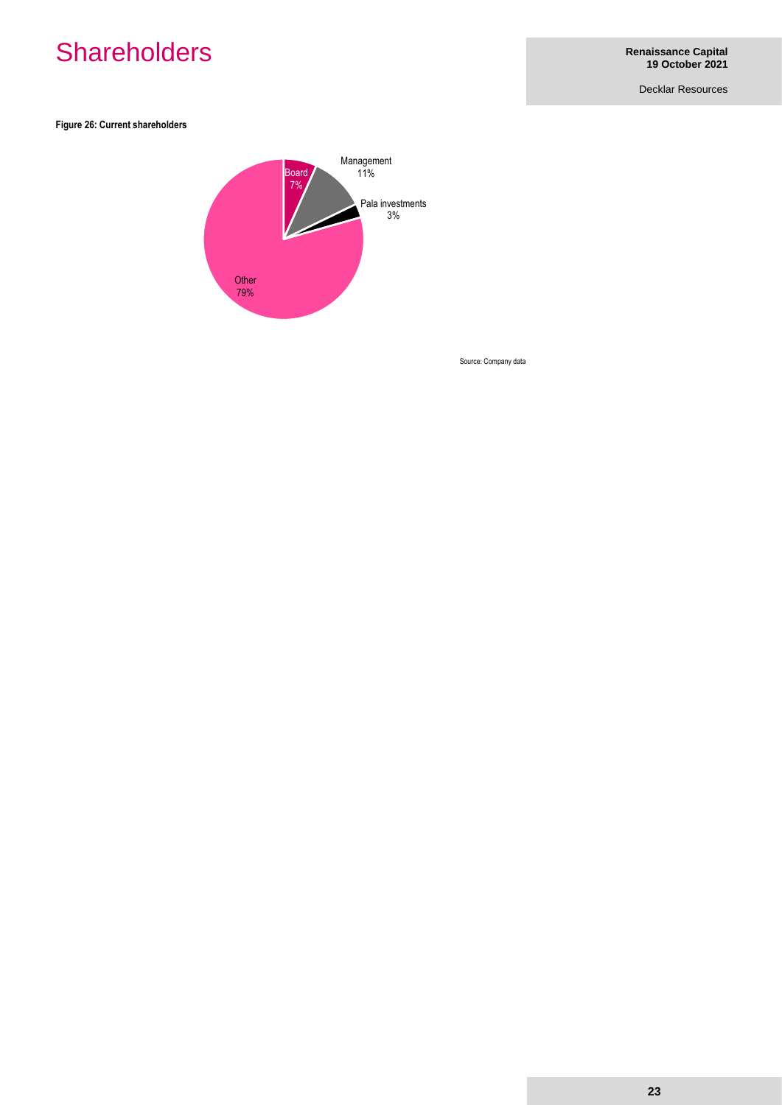## **Shareholders**

Decklar Resources

**Figure 26: Current shareholders** 



Source: Company data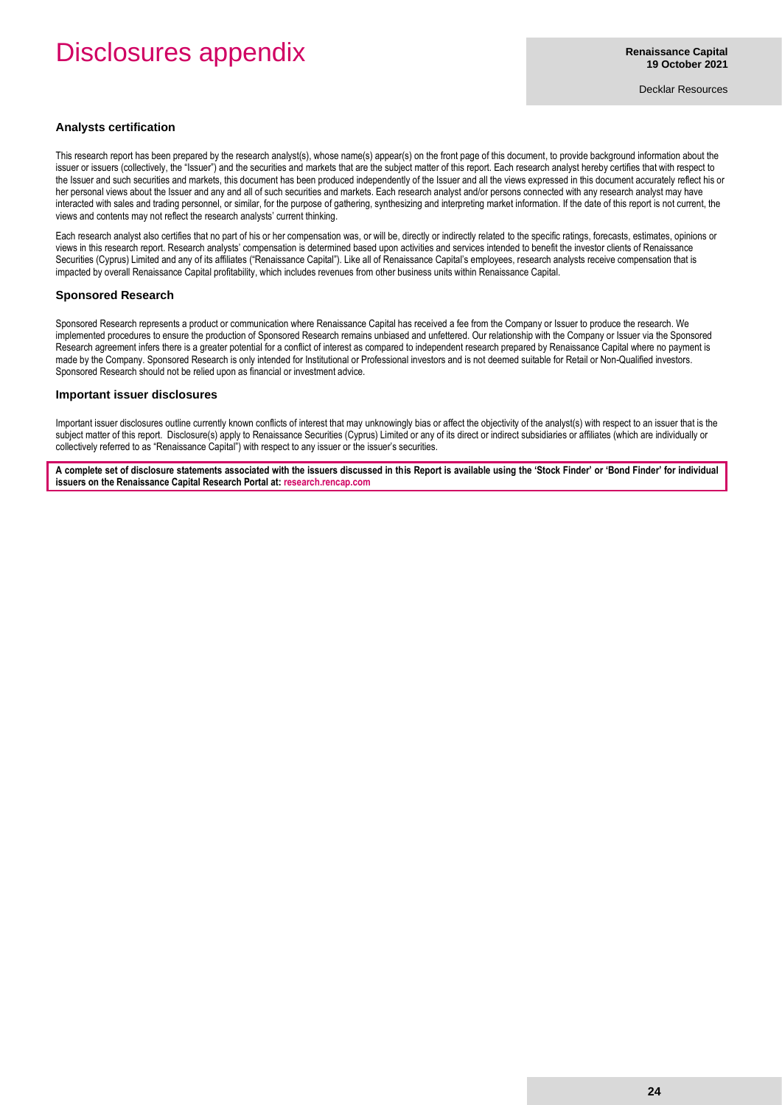## Disclosures appendix

Decklar Resources

#### **Analysts certification**

This research report has been prepared by the research analyst(s), whose name(s) appear(s) on the front page of this document, to provide background information about the issuer or issuers (collectively, the "Issuer") and the securities and markets that are the subject matter of this report. Each research analyst hereby certifies that with respect to the Issuer and such securities and markets, this document has been produced independently of the Issuer and all the views expressed in this document accurately reflect his or her personal views about the Issuer and any and all of such securities and markets. Each research analyst and/or persons connected with any research analyst may have interacted with sales and trading personnel, or similar, for the purpose of gathering, synthesizing and interpreting market information. If the date of this report is not current, the views and contents may not reflect the research analysts' current thinking.

Each research analyst also certifies that no part of his or her compensation was, or will be, directly or indirectly related to the specific ratings, forecasts, estimates, opinions or views in this research report. Research analysts' compensation is determined based upon activities and services intended to benefit the investor clients of Renaissance Securities (Cyprus) Limited and any of its affiliates ("Renaissance Capital"). Like all of Renaissance Capital's employees, research analysts receive compensation that is impacted by overall Renaissance Capital profitability, which includes revenues from other business units within Renaissance Capital.

#### **Sponsored Research**

Sponsored Research represents a product or communication where Renaissance Capital has received a fee from the Company or Issuer to produce the research. We implemented procedures to ensure the production of Sponsored Research remains unbiased and unfettered. Our relationship with the Company or Issuer via the Sponsored Research agreement infers there is a greater potential for a conflict of interest as compared to independent research prepared by Renaissance Capital where no payment is made by the Company. Sponsored Research is only intended for Institutional or Professional investors and is not deemed suitable for Retail or Non-Qualified investors. Sponsored Research should not be relied upon as financial or investment advice.

#### **Important issuer disclosures**

Important issuer disclosures outline currently known conflicts of interest that may unknowingly bias or affect the objectivity of the analyst(s) with respect to an issuer that is the subject matter of this report. Disclosure(s) apply to Renaissance Securities (Cyprus) Limited or any of its direct or indirect subsidiaries or affiliates (which are individually or collectively referred to as "Renaissance Capital") with respect to any issuer or the issuer's securities.

**A complete set of disclosure statements associated with the issuers discussed in this Report is available using the 'Stock Finder' or 'Bond Finder' for individual issuers on the Renaissance Capital Research Portal at[: research.rencap.com](https://research.rencap.com/)**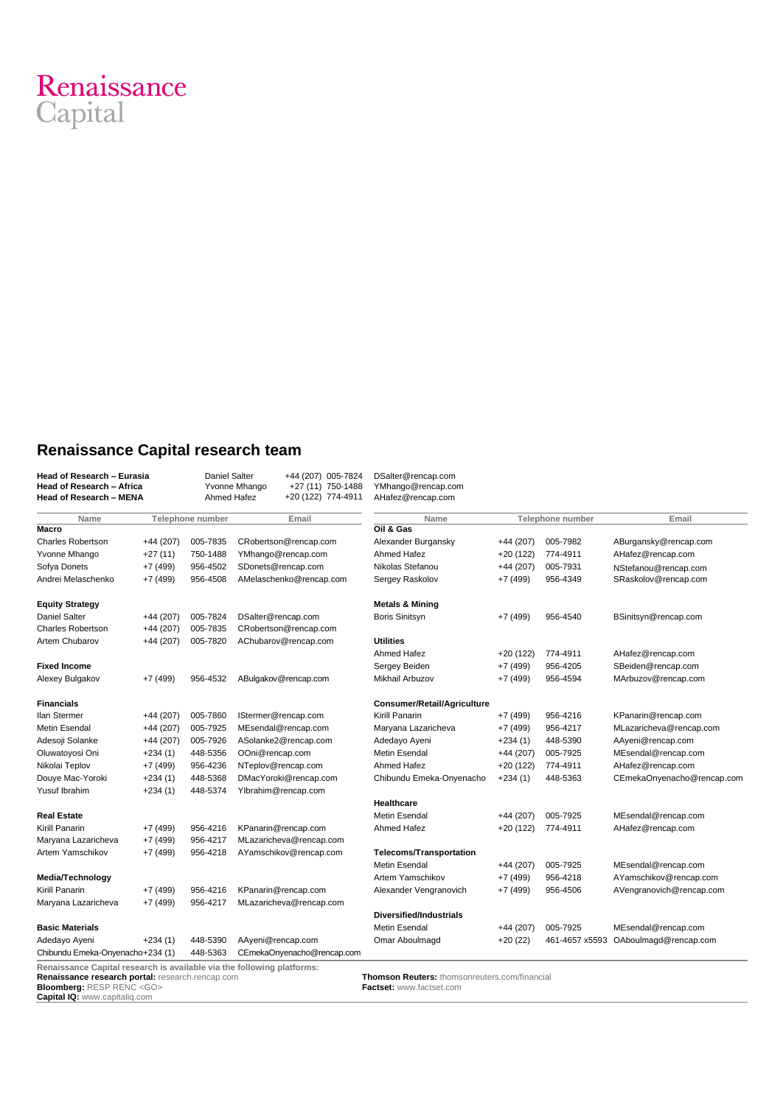

## **Renaissance Capital research team**

| <b>Head of Research - Eurasia</b><br>Head of Research - Africa<br><b>Head of Research - MENA</b> |            | <b>Daniel Salter</b><br>+44 (207) 005-7824<br>Yvonne Mhango<br>+27 (11) 750-1488<br>Ahmed Hafez<br>+20 (122) 774-4911 |                            | DSalter@rencap.com<br>YMhango@rencap.com<br>AHafez@rencap.com |            |                  |                            |
|--------------------------------------------------------------------------------------------------|------------|-----------------------------------------------------------------------------------------------------------------------|----------------------------|---------------------------------------------------------------|------------|------------------|----------------------------|
| Name                                                                                             |            | Telephone number                                                                                                      | Email                      | Name                                                          |            | Telephone number | Email                      |
| <b>Macro</b>                                                                                     |            |                                                                                                                       |                            | Oil & Gas                                                     |            |                  |                            |
| <b>Charles Robertson</b>                                                                         | $+44(207)$ | 005-7835                                                                                                              | CRobertson@rencap.com      | Alexander Burgansky                                           | $+44(207)$ | 005-7982         | ABurgansky@rencap.com      |
| Yvonne Mhango                                                                                    | $+27(11)$  | 750-1488                                                                                                              | YMhango@rencap.com         | Ahmed Hafez                                                   | +20 (122)  | 774-4911         | AHafez@rencap.com          |
| Sofya Donets                                                                                     | $+7(499)$  | 956-4502                                                                                                              | SDonets@rencap.com         | Nikolas Stefanou                                              | $+44(207)$ | 005-7931         | NStefanou@rencap.com       |
| Andrei Melaschenko                                                                               | $+7(499)$  | 956-4508                                                                                                              | AMelaschenko@rencap.com    | Sergey Raskolov                                               | $+7(499)$  | 956-4349         | SRaskolov@rencap.com       |
| <b>Equity Strategy</b>                                                                           |            |                                                                                                                       |                            | <b>Metals &amp; Mining</b>                                    |            |                  |                            |
| <b>Daniel Salter</b>                                                                             | $+44(207)$ | 005-7824                                                                                                              | DSalter@rencap.com         | <b>Boris Sinitsyn</b>                                         | $+7(499)$  | 956-4540         | BSinitsyn@rencap.com       |
| <b>Charles Robertson</b>                                                                         | $+44(207)$ | 005-7835                                                                                                              | CRobertson@rencap.com      |                                                               |            |                  |                            |
| <b>Artem Chubarov</b>                                                                            | $+44(207)$ | 005-7820                                                                                                              | AChubarov@rencap.com       | <b>Utilities</b>                                              |            |                  |                            |
|                                                                                                  |            |                                                                                                                       |                            | Ahmed Hafez                                                   | $+20(122)$ | 774-4911         | AHafez@rencap.com          |
| <b>Fixed Income</b>                                                                              |            |                                                                                                                       |                            | Sergey Beiden                                                 | $+7(499)$  | 956-4205         | SBeiden@rencap.com         |
| Alexey Bulgakov                                                                                  | $+7(499)$  | 956-4532                                                                                                              | ABulgakov@rencap.com       | Mikhail Arbuzov                                               | $+7(499)$  | 956-4594         | MArbuzov@rencap.com        |
| <b>Financials</b>                                                                                |            |                                                                                                                       |                            | Consumer/Retail/Agriculture                                   |            |                  |                            |
| <b>Ilan Stermer</b>                                                                              | $+44(207)$ | 005-7860                                                                                                              | IStermer@rencap.com        | Kirill Panarin                                                | $+7(499)$  | 956-4216         | KPanarin@rencap.com        |
| <b>Metin Esendal</b>                                                                             | $+44(207)$ | 005-7925                                                                                                              | MEsendal@rencap.com        | Maryana Lazaricheva                                           | $+7(499)$  | 956-4217         | MLazaricheva@rencap.com    |
| Adesoji Solanke                                                                                  | $+44(207)$ | 005-7926                                                                                                              | ASolanke2@rencap.com       | Adedayo Ayeni                                                 | $+234(1)$  | 448-5390         | AAyeni@rencap.com          |
| Oluwatoyosi Oni                                                                                  | $+234(1)$  | 448-5356                                                                                                              | OOni@rencap.com            | <b>Metin Esendal</b>                                          | $+44(207)$ | 005-7925         | MEsendal@rencap.com        |
| Nikolai Teplov                                                                                   | $+7(499)$  | 956-4236                                                                                                              | NTeplov@rencap.com         | Ahmed Hafez                                                   | $+20(122)$ | 774-4911         | AHafez@rencap.com          |
| Douye Mac-Yoroki                                                                                 | $+234(1)$  | 448-5368                                                                                                              | DMacYoroki@rencap.com      | Chibundu Emeka-Onyenacho                                      | $+234(1)$  | 448-5363         | CEmekaOnyenacho@rencap.com |
| Yusuf Ibrahim                                                                                    | $+234(1)$  | 448-5374                                                                                                              | Ylbrahim@rencap.com        |                                                               |            |                  |                            |
|                                                                                                  |            |                                                                                                                       |                            | Healthcare                                                    |            |                  |                            |
| <b>Real Estate</b>                                                                               |            |                                                                                                                       |                            | <b>Metin Esendal</b>                                          | $+44(207)$ | 005-7925         | MEsendal@rencap.com        |
| Kirill Panarin                                                                                   | $+7(499)$  | 956-4216                                                                                                              | KPanarin@rencap.com        | Ahmed Hafez                                                   | $+20(122)$ | 774-4911         | AHafez@rencap.com          |
| Marvana Lazaricheva                                                                              | $+7(499)$  | 956-4217                                                                                                              | MLazaricheva@rencap.com    |                                                               |            |                  |                            |
| Artem Yamschikov                                                                                 | $+7(499)$  | 956-4218                                                                                                              | AYamschikov@rencap.com     | <b>Telecoms/Transportation</b>                                |            |                  |                            |
|                                                                                                  |            |                                                                                                                       |                            | <b>Metin Esendal</b>                                          | $+44(207)$ | 005-7925         | MEsendal@rencap.com        |
| Media/Technology                                                                                 |            |                                                                                                                       |                            | Artem Yamschikov                                              | $+7(499)$  | 956-4218         | AYamschikov@rencap.com     |
| Kirill Panarin                                                                                   | $+7(499)$  | 956-4216                                                                                                              | KPanarin@rencap.com        | Alexander Vengranovich                                        | $+7(499)$  | 956-4506         | AVengranovich@rencap.com   |
| Maryana Lazaricheva                                                                              | $+7(499)$  | 956-4217                                                                                                              | MLazaricheva@rencap.com    |                                                               |            |                  |                            |
|                                                                                                  |            |                                                                                                                       |                            | <b>Diversified/Industrials</b>                                |            |                  |                            |
| <b>Basic Materials</b>                                                                           |            |                                                                                                                       |                            | <b>Metin Esendal</b>                                          | $+44(207)$ | 005-7925         | MEsendal@rencap.com        |
| Adedayo Ayeni                                                                                    | $+234(1)$  | 448-5390                                                                                                              | AAyeni@rencap.com          | Omar Aboulmagd                                                | $+20(22)$  | 461-4657 x5593   | OAboulmagd@rencap.com      |
| Chibundu Emeka-Onyenacho+234 (1)                                                                 |            | 448-5363                                                                                                              | CEmekaOnyenacho@rencap.com |                                                               |            |                  |                            |

**Renaissance research portal:** [research.rencap.com](http://research.rencap.com/eng/default.asp) **Bloomberg:** RESP RENC <GO> **Capital IQ:** [www.capitaliq.com](http://www.capitaliq.com/)

**Thomson Reuters:** [thomsonreuters.com/financial](http://thomsonreuters.com/financial) **Factset:** [www.factset.com](http://www.factset.com/)